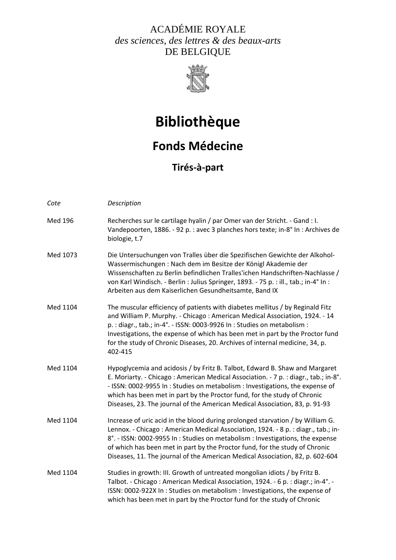### ACADÉMIE ROYALE *des sciences, des lettres & des beaux-arts*  DE BELGIQUE



# **Bibliothèque**

## **Fonds Médecine**

**Tirés‐à‐part**

| Cote     | Description                                                                                                                                                                                                                                                                                                                                                                                                         |
|----------|---------------------------------------------------------------------------------------------------------------------------------------------------------------------------------------------------------------------------------------------------------------------------------------------------------------------------------------------------------------------------------------------------------------------|
| Med 196  | Recherches sur le cartilage hyalin / par Omer van der Stricht. - Gand : I.<br>Vandepoorten, 1886. - 92 p. : avec 3 planches hors texte; in-8° In : Archives de<br>biologie, t.7                                                                                                                                                                                                                                     |
| Med 1073 | Die Untersuchungen von Tralles über die Spezifischen Gewichte der Alkohol-<br>Wassermischungen: Nach dem im Besitze der Königl Akademie der<br>Wissenschaften zu Berlin befindlichen Tralles'ichen Handschriften-Nachlasse /<br>von Karl Windisch. - Berlin : Julius Springer, 1893. - 75 p. : ill., tab.; in-4° In :<br>Arbeiten aus dem Kaiserlichen Gesundheitsamte, Band IX                                     |
| Med 1104 | The muscular efficiency of patients with diabetes mellitus / by Reginald Fitz<br>and William P. Murphy. - Chicago: American Medical Association, 1924. - 14<br>p.: diagr., tab.; in-4°. - ISSN: 0003-9926 In: Studies on metabolism:<br>Investigations, the expense of which has been met in part by the Proctor fund<br>for the study of Chronic Diseases, 20. Archives of internal medicine, 34, p.<br>402-415    |
| Med 1104 | Hypoglycemia and acidosis / by Fritz B. Talbot, Edward B. Shaw and Margaret<br>E. Moriarty. - Chicago: American Medical Association. - 7 p. : diagr., tab.; in-8°.<br>- ISSN: 0002-9955 In : Studies on metabolism : Investigations, the expense of<br>which has been met in part by the Proctor fund, for the study of Chronic<br>Diseases, 23. The journal of the American Medical Association, 83, p. 91-93      |
| Med 1104 | Increase of uric acid in the blood during prolonged starvation / by William G.<br>Lennox. - Chicago: American Medical Association, 1924. - 8 p. : diagr., tab.; in-<br>8°. - ISSN: 0002-9955 In: Studies on metabolism: Investigations, the expense<br>of which has been met in part by the Proctor fund, for the study of Chronic<br>Diseases, 11. The journal of the American Medical Association, 82, p. 602-604 |
| Med 1104 | Studies in growth: III. Growth of untreated mongolian idiots / by Fritz B.<br>Talbot. - Chicago: American Medical Association, 1924. - 6 p. : diagr.; in-4°. -<br>ISSN: 0002-922X In: Studies on metabolism: Investigations, the expense of<br>which has been met in part by the Proctor fund for the study of Chronic                                                                                              |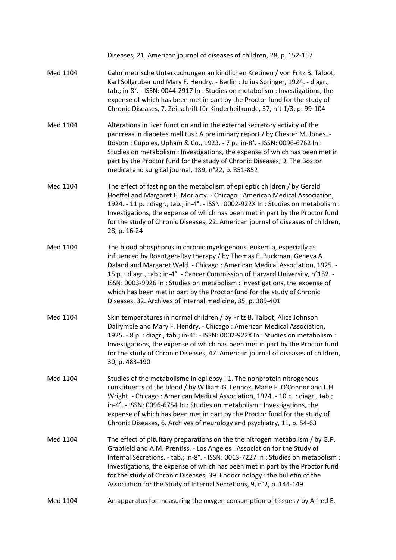Diseases, 21. American journal of diseases of children, 28, p. 152‐157

- Med 1104 Calorimetrische Untersuchungen an kindlichen Kretinen / von Fritz B. Talbot, Karl Sollgruber und Mary F. Hendry. ‐ Berlin : Julius Springer, 1924. ‐ diagr., tab.; in‐8°. ‐ ISSN: 0044‐2917 In : Studies on metabolism : Investigations, the expense of which has been met in part by the Proctor fund for the study of Chronic Diseases, 7. Zeitschrift für Kinderheilkunde, 37, hft 1/3, p. 99‐104
- Med 1104 Alterations in liver function and in the external secretory activity of the pancreas in diabetes mellitus : A preliminary report / by Chester M. Jones. ‐ Boston : Cupples, Upham & Co., 1923. ‐ 7 p.; in‐8°. ‐ ISSN: 0096‐6762 In : Studies on metabolism : Investigations, the expense of which has been met in part by the Proctor fund for the study of Chronic Diseases, 9. The Boston medical and surgical journal, 189, n°22, p. 851‐852
- Med 1104 The effect of fasting on the metabolism of epileptic children / by Gerald Hoeffel and Margaret E. Moriarty. ‐ Chicago : American Medical Association, 1924. ‐ 11 p. : diagr., tab.; in‐4°. ‐ ISSN: 0002‐922X In : Studies on metabolism : Investigations, the expense of which has been met in part by the Proctor fund for the study of Chronic Diseases, 22. American journal of diseases of children, 28, p. 16‐24
- Med 1104 The blood phosphorus in chronic myelogenous leukemia, especially as influenced by Roentgen-Ray therapy / by Thomas E. Buckman, Geneva A. Daland and Margaret Weld. ‐ Chicago : American Medical Association, 1925. ‐ 15 p. : diagr., tab.; in‐4°. ‐ Cancer Commission of Harvard University, n°152. ‐ ISSN: 0003‐9926 In : Studies on metabolism : Investigations, the expense of which has been met in part by the Proctor fund for the study of Chronic Diseases, 32. Archives of internal medicine, 35, p. 389‐401
- Med 1104 Skin temperatures in normal children / by Fritz B. Talbot, Alice Johnson Dalrymple and Mary F. Hendry. ‐ Chicago : American Medical Association, 1925. ‐ 8 p. : diagr., tab.; in‐4°. ‐ ISSN: 0002‐922X In : Studies on metabolism : Investigations, the expense of which has been met in part by the Proctor fund for the study of Chronic Diseases, 47. American journal of diseases of children, 30, p. 483‐490
- Med 1104 Studies of the metabolisme in epilepsy : 1. The nonprotein nitrogenous constituents of the blood / by William G. Lennox, Marie F. O'Connor and L.H. Wright. ‐ Chicago : American Medical Association, 1924. ‐ 10 p. : diagr., tab.; in‐4°. ‐ ISSN: 0096‐6754 In : Studies on metabolism : Investigations, the expense of which has been met in part by the Proctor fund for the study of Chronic Diseases, 6. Archives of neurology and psychiatry, 11, p. 54‐63
- Med 1104 The effect of pituitary preparations on the the nitrogen metabolism / by G.P. Grabfield and A.M. Prentiss. ‐ Los Angeles : Association for the Study of Internal Secretions. - tab.; in-8°. - ISSN: 0013-7227 In: Studies on metabolism: Investigations, the expense of which has been met in part by the Proctor fund for the study of Chronic Diseases, 39. Endocrinology : the bulletin of the Association for the Study of Internal Secretions, 9, n°2, p. 144‐149

#### Med 1104 An apparatus for measuring the oxygen consumption of tissues / by Alfred E.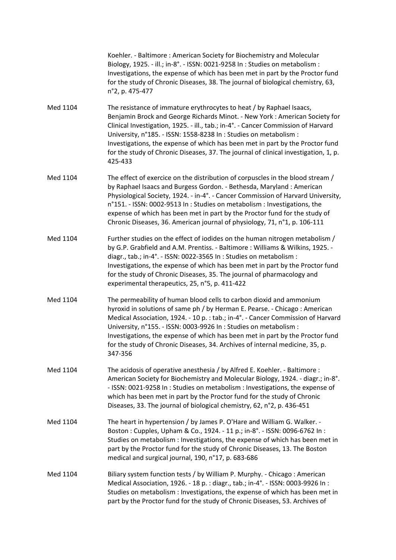Koehler. ‐ Baltimore : American Society for Biochemistry and Molecular Biology, 1925. ‐ ill.; in‐8°. ‐ ISSN: 0021‐9258 In : Studies on metabolism : Investigations, the expense of which has been met in part by the Proctor fund for the study of Chronic Diseases, 38. The journal of biological chemistry, 63, n°2, p. 475‐477

- Med 1104 The resistance of immature erythrocytes to heat / by Raphael Isaacs, Benjamin Brock and George Richards Minot. ‐ New York : American Society for Clinical Investigation, 1925. ‐ ill., tab.; in‐4°. ‐ Cancer Commission of Harvard University, n°185. ‐ ISSN: 1558‐8238 In : Studies on metabolism : Investigations, the expense of which has been met in part by the Proctor fund for the study of Chronic Diseases, 37. The journal of clinical investigation, 1, p. 425‐433
- Med 1104 The effect of exercice on the distribution of corpuscles in the blood stream / by Raphael Isaacs and Burgess Gordon. ‐ Bethesda, Maryland : American Physiological Society, 1924. ‐ in‐4°. ‐ Cancer Commission of Harvard University, n°151. ‐ ISSN: 0002‐9513 In : Studies on metabolism : Investigations, the expense of which has been met in part by the Proctor fund for the study of Chronic Diseases, 36. American journal of physiology, 71, n°1, p. 106‐111
- Med 1104 Further studies on the effect of iodides on the human nitrogen metabolism / by G.P. Grabfield and A.M. Prentiss. ‐ Baltimore : Williams & Wilkins, 1925. ‐ diagr., tab.; in‐4°. ‐ ISSN: 0022‐3565 In : Studies on metabolism : Investigations, the expense of which has been met in part by the Proctor fund for the study of Chronic Diseases, 35. The journal of pharmacology and experimental therapeutics, 25, n°5, p. 411‐422
- Med 1104 The permeability of human blood cells to carbon dioxid and ammonium hyroxid in solutions of same ph / by Herman E. Pearse. ‐ Chicago : American Medical Association, 1924. ‐ 10 p. : tab.; in‐4°. ‐ Cancer Commission of Harvard University, n°155. ‐ ISSN: 0003‐9926 In : Studies on metabolism : Investigations, the expense of which has been met in part by the Proctor fund for the study of Chronic Diseases, 34. Archives of internal medicine, 35, p. 347‐356
- Med 1104 The acidosis of operative anesthesia / by Alfred E. Koehler. Baltimore : American Society for Biochemistry and Molecular Biology, 1924. ‐ diagr.; in‐8°. ‐ ISSN: 0021‐9258 In : Studies on metabolism : Investigations, the expense of which has been met in part by the Proctor fund for the study of Chronic Diseases, 33. The journal of biological chemistry, 62, n°2, p. 436‐451
- Med 1104 The heart in hypertension / by James P. O'Hare and William G. Walker. -Boston : Cupples, Upham & Co., 1924. ‐ 11 p.; in‐8°. ‐ ISSN: 0096‐6762 In : Studies on metabolism : Investigations, the expense of which has been met in part by the Proctor fund for the study of Chronic Diseases, 13. The Boston medical and surgical journal, 190, n°17, p. 683‐686
- Med 1104 Biliary system function tests / by William P. Murphy. Chicago : American Medical Association, 1926. ‐ 18 p. : diagr., tab.; in‐4°. ‐ ISSN: 0003‐9926 In : Studies on metabolism : Investigations, the expense of which has been met in part by the Proctor fund for the study of Chronic Diseases, 53. Archives of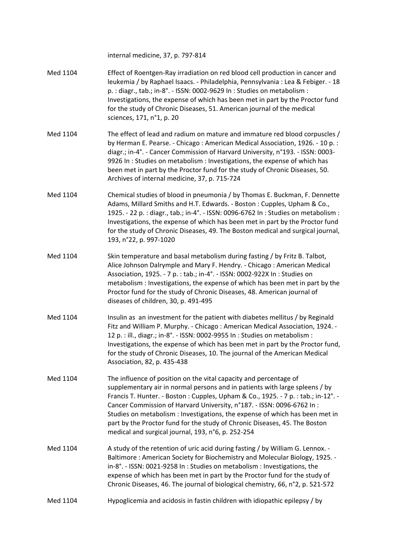|          | internal medicine, 37, p. 797-814                                                                                                                                                                                                                                                                                                                                                                                                                                                                                                 |
|----------|-----------------------------------------------------------------------------------------------------------------------------------------------------------------------------------------------------------------------------------------------------------------------------------------------------------------------------------------------------------------------------------------------------------------------------------------------------------------------------------------------------------------------------------|
| Med 1104 | Effect of Roentgen-Ray irradiation on red blood cell production in cancer and<br>leukemia / by Raphael Isaacs. - Philadelphia, Pennsylvania : Lea & Febiger. - 18<br>p. : diagr., tab.; in-8°. - ISSN: 0002-9629 In : Studies on metabolism :<br>Investigations, the expense of which has been met in part by the Proctor fund<br>for the study of Chronic Diseases, 51. American journal of the medical<br>sciences, 171, n°1, p. 20                                                                                             |
| Med 1104 | The effect of lead and radium on mature and immature red blood corpuscles /<br>by Herman E. Pearse. - Chicago: American Medical Association, 1926. - 10 p.:<br>diagr.; in-4°. - Cancer Commission of Harvard University, n°193. - ISSN: 0003-<br>9926 In: Studies on metabolism: Investigations, the expense of which has<br>been met in part by the Proctor fund for the study of Chronic Diseases, 50.<br>Archives of internal medicine, 37, p. 715-724                                                                         |
| Med 1104 | Chemical studies of blood in pneumonia / by Thomas E. Buckman, F. Dennette<br>Adams, Millard Smiths and H.T. Edwards. - Boston: Cupples, Upham & Co.,<br>1925. - 22 p. : diagr., tab.; in-4°. - ISSN: 0096-6762 In : Studies on metabolism :<br>Investigations, the expense of which has been met in part by the Proctor fund<br>for the study of Chronic Diseases, 49. The Boston medical and surgical journal,<br>193, n°22, p. 997-1020                                                                                        |
| Med 1104 | Skin temperature and basal metabolism during fasting / by Fritz B. Talbot,<br>Alice Johnson Dalrymple and Mary F. Hendry. - Chicago: American Medical<br>Association, 1925. - 7 p. : tab.; in-4°. - ISSN: 0002-922X In : Studies on<br>metabolism : Investigations, the expense of which has been met in part by the<br>Proctor fund for the study of Chronic Diseases, 48. American journal of<br>diseases of children, 30, p. 491-495                                                                                           |
| Med 1104 | Insulin as an investment for the patient with diabetes mellitus / by Reginald<br>Fitz and William P. Murphy. - Chicago: American Medical Association, 1924. -<br>12 p. : ill., diagr.; in-8°. - ISSN: 0002-9955 In : Studies on metabolism :<br>Investigations, the expense of which has been met in part by the Proctor fund,<br>for the study of Chronic Diseases, 10. The journal of the American Medical<br>Association, 82, p. 435-438                                                                                       |
| Med 1104 | The influence of position on the vital capacity and percentage of<br>supplementary air in normal persons and in patients with large spleens / by<br>Francis T. Hunter. - Boston: Cupples, Upham & Co., 1925. - 7 p.: tab.; in-12°. -<br>Cancer Commission of Harvard University, n°187. - ISSN: 0096-6762 In:<br>Studies on metabolism : Investigations, the expense of which has been met in<br>part by the Proctor fund for the study of Chronic Diseases, 45. The Boston<br>medical and surgical journal, 193, n°6, p. 252-254 |
| Med 1104 | A study of the retention of uric acid during fasting / by William G. Lennox. -<br>Baltimore: American Society for Biochemistry and Molecular Biology, 1925. -<br>in-8°. - ISSN: 0021-9258 In: Studies on metabolism: Investigations, the<br>expense of which has been met in part by the Proctor fund for the study of<br>Chronic Diseases, 46. The journal of biological chemistry, 66, n°2, p. 521-572                                                                                                                          |
| Med 1104 | Hypoglicemia and acidosis in fastin children with idiopathic epilepsy / by                                                                                                                                                                                                                                                                                                                                                                                                                                                        |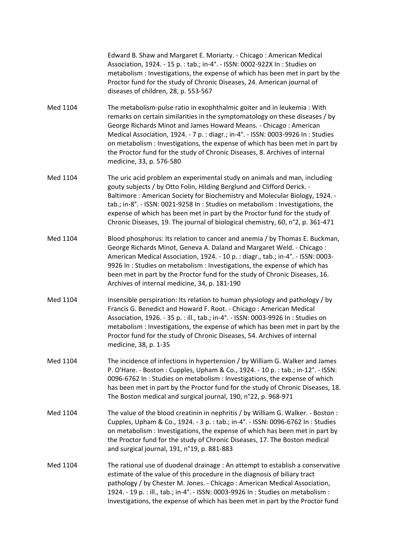Edward B. Shaw and Margaret E. Moriarty. ‐ Chicago : American Medical Association, 1924. ‐ 15 p. : tab.; in‐4°. ‐ ISSN: 0002‐922X In : Studies on metabolism : Investigations, the expense of which has been met in part by the Proctor fund for the study of Chronic Diseases, 24. American journal of diseases of children, 28, p. 553‐567

- Med 1104 The metabolism-pulse ratio in exophthalmic goiter and in leukemia : With remarks on certain similarities in the symptomatology on these diseases / by George Richards Minot and James Howard Means. ‐ Chicago : American Medical Association, 1924. ‐ 7 p. : diagr.; in‐4°. ‐ ISSN: 0003‐9926 In : Studies on metabolism : Investigations, the expense of which has been met in part by the Proctor fund for the study of Chronic Diseases, 8. Archives of internal medicine, 33, p. 576‐580
- Med 1104 The uric acid problem an experimental study on animals and man, including gouty subjects / by Otto Folin, Hilding Berglund and Clifford Derick. ‐ Baltimore : American Society for Biochemistry and Molecular Biology, 1924. ‐ tab.; in‐8°. ‐ ISSN: 0021‐9258 In : Studies on metabolism : Investigations, the expense of which has been met in part by the Proctor fund for the study of Chronic Diseases, 19. The journal of biological chemistry, 60, n°2, p. 361‐471
- Med 1104 Blood phosphorus: Its relation to cancer and anemia / by Thomas E. Buckman, George Richards Minot, Geneva A. Daland and Margaret Weld. ‐ Chicago : American Medical Association, 1924. ‐ 10 p. : diagr., tab.; in‐4°. ‐ ISSN: 0003‐ 9926 In : Studies on metabolism : Investigations, the expense of which has been met in part by the Proctor fund for the study of Chronic Diseases, 16. Archives of internal medicine, 34, p. 181‐190
- Med 1104 Insensible perspiration: Its relation to human physiology and pathology / by Francis G. Benedict and Howard F. Root. ‐ Chicago : American Medical Association, 1926. ‐ 35 p. : ill., tab.; in‐4°. ‐ ISSN: 0003‐9926 In : Studies on metabolism : Investigations, the expense of which has been met in part by the Proctor fund for the study of Chronic Diseases, 54. Archives of internal medicine, 38, p. 1‐35
- Med 1104 The incidence of infections in hypertension / by William G. Walker and James P. O'Hare. ‐ Boston : Cupples, Upham & Co., 1924. ‐ 10 p. : tab.; in‐12°. ‐ ISSN: 0096‐6762 In : Studies on metabolism : Investigations, the expense of which has been met in part by the Proctor fund for the study of Chronic Diseases, 18. The Boston medical and surgical journal, 190, n°22, p. 968‐971
- Med 1104 The value of the blood creatinin in nephritis / by William G. Walker. Boston : Cupples, Upham & Co., 1924. ‐ 3 p. : tab.; in‐4°. ‐ ISSN: 0096‐6762 In : Studies on metabolism : Investigations, the expense of which has been met in part by the Proctor fund for the study of Chronic Diseases, 17. The Boston medical and surgical journal, 191, n°19, p. 881‐883
- Med 1104 The rational use of duodenal drainage : An attempt to establish a conservative estimate of the value of this procedure in the diagnosis of biliary tract pathology / by Chester M. Jones. ‐ Chicago : American Medical Association, 1924. ‐ 19 p. : ill., tab.; in‐4°. ‐ ISSN: 0003‐9926 In : Studies on metabolism : Investigations, the expense of which has been met in part by the Proctor fund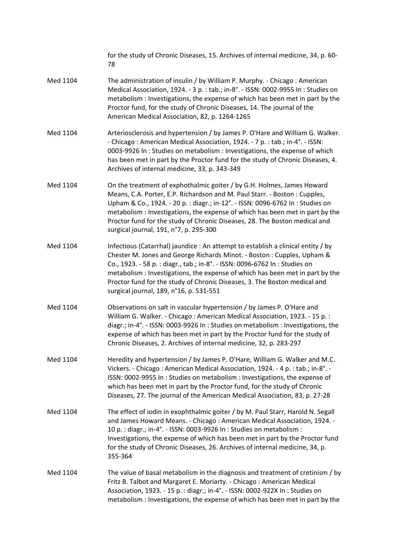|          | for the study of Chronic Diseases, 15. Archives of internal medicine, 34, p. 60-<br>78                                                                                                                                                                                                                                                                                                                                                             |
|----------|----------------------------------------------------------------------------------------------------------------------------------------------------------------------------------------------------------------------------------------------------------------------------------------------------------------------------------------------------------------------------------------------------------------------------------------------------|
| Med 1104 | The administration of insulin / by William P. Murphy. - Chicago: American<br>Medical Association, 1924. - 3 p. : tab.; in-8°. - ISSN: 0002-9955 In : Studies on<br>metabolism: Investigations, the expense of which has been met in part by the<br>Proctor fund, for the study of Chronic Diseases, 14. The journal of the<br>American Medical Association, 82, p. 1264-1265                                                                       |
| Med 1104 | Arteriosclerosis and hypertension / by James P. O'Hare and William G. Walker.<br>- Chicago: American Medical Association, 1924. - 7 p. : tab.; in-4°. - ISSN:<br>0003-9926 In: Studies on metabolism: Investigations, the expense of which<br>has been met in part by the Proctor fund for the study of Chronic Diseases, 4.<br>Archives of internal medicine, 33, p. 343-349                                                                      |
| Med 1104 | On the treatment of exphothalmic goiter / by G.H. Holmes, James Howard<br>Means, C.A. Porter, E.P. Richardson and M. Paul Starr. - Boston: Cupples,<br>Upham & Co., 1924. - 20 p. : diagr.; in-12°. - ISSN: 0096-6762 In : Studies on<br>metabolism : Investigations, the expense of which has been met in part by the<br>Proctor fund for the study of Chronic Diseases, 28. The Boston medical and<br>surgical journal, 191, n°7, p. 295-300     |
| Med 1104 | Infectious (Catarrhal) jaundice : An attempt to establish a clinical entity / by<br>Chester M. Jones and George Richards Minot. - Boston: Cupples, Upham &<br>Co., 1923. - 58 p. : diagr., tab.; in-8°. - ISSN: 0096-6762 In : Studies on<br>metabolism : Investigations, the expense of which has been met in part by the<br>Proctor fund for the study of Chronic Diseases, 3. The Boston medical and<br>surgical journal, 189, n°16, p. 531-551 |
| Med 1104 | Observations on salt in vascular hypertension / by James P. O'Hare and<br>William G. Walker. - Chicago: American Medical Association, 1923. - 15 p.:<br>diagr.; in-4°. - ISSN: 0003-9926 In: Studies on metabolism: Investigations, the<br>expense of which has been met in part by the Proctor fund for the study of<br>Chronic Diseases, 2. Archives of internal medicine, 32, p. 283-297                                                        |
| Med 1104 | Heredity and hypertension / by James P. O'Hare, William G. Walker and M.C.<br>Vickers. - Chicago: American Medical Association, 1924. - 4 p. : tab.; in-8°. -<br>ISSN: 0002-9955 In : Studies on metabolism : Investigations, the expense of<br>which has been met in part by the Proctor fund, for the study of Chronic<br>Diseases, 27. The journal of the American Medical Association, 83, p. 27-28                                            |
| Med 1104 | The effect of iodin in exophthalmic goiter / by M. Paul Starr, Harold N. Segall<br>and James Howard Means. - Chicago: American Medical Association, 1924. -<br>10 p. : diagr.; in-4°. - ISSN: 0003-9926 In : Studies on metabolism :<br>Investigations, the expense of which has been met in part by the Proctor fund<br>for the study of Chronic Diseases, 26. Archives of internal medicine, 34, p.<br>355-364                                   |
| Med 1104 | The value of basal metabolism in the diagnosis and treatment of cretinism / by<br>Fritz B. Talbot and Margaret E. Moriarty. - Chicago: American Medical<br>Association, 1923. - 15 p. : diagr.; in-4°. - ISSN: 0002-922X In : Studies on<br>metabolism : Investigations, the expense of which has been met in part by the                                                                                                                          |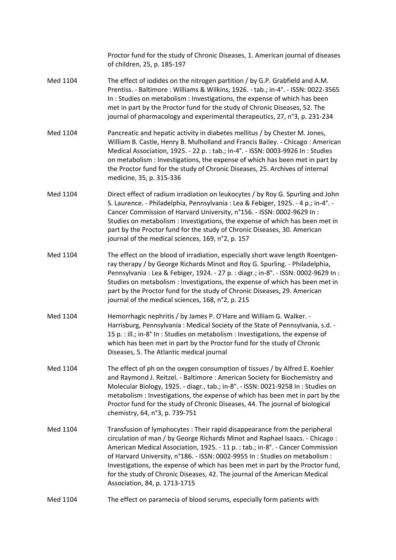|          | Proctor fund for the study of Chronic Diseases, 1. American journal of diseases<br>of children, 25, p. 185-197                                                                                                                                                                                                                                                                                                                                                                                                             |
|----------|----------------------------------------------------------------------------------------------------------------------------------------------------------------------------------------------------------------------------------------------------------------------------------------------------------------------------------------------------------------------------------------------------------------------------------------------------------------------------------------------------------------------------|
| Med 1104 | The effect of iodides on the nitrogen partition / by G.P. Grabfield and A.M.<br>Prentiss. - Baltimore: Williams & Wilkins, 1926. - tab.; in-4°. - ISSN: 0022-3565<br>In: Studies on metabolism: Investigations, the expense of which has been<br>met in part by the Proctor fund for the study of Chronic Diseases, 52. The<br>journal of pharmacology and experimental therapeutics, 27, n°3, p. 231-234                                                                                                                  |
| Med 1104 | Pancreatic and hepatic activity in diabetes mellitus / by Chester M. Jones,<br>William B. Castle, Henry B. Mulholland and Francis Bailey. - Chicago: American<br>Medical Association, 1925. - 22 p. : tab.; in-4°. - ISSN: 0003-9926 In : Studies<br>on metabolism : Investigations, the expense of which has been met in part by<br>the Proctor fund for the study of Chronic Diseases, 25. Archives of internal<br>medicine, 35, p. 315-336                                                                              |
| Med 1104 | Direct effect of radium irradiation on leukocytes / by Roy G. Spurling and John<br>S. Laurence. - Philadelphia, Pennsylvania : Lea & Febiger, 1925. - 4 p.; in-4°. -<br>Cancer Commission of Harvard University, n°156. - ISSN: 0002-9629 In:<br>Studies on metabolism : Investigations, the expense of which has been met in<br>part by the Proctor fund for the study of Chronic Diseases, 30. American<br>journal of the medical sciences, 169, n°2, p. 157                                                             |
| Med 1104 | The effect on the blood of irradiation, especially short wave length Roentgen-<br>ray therapy / by George Richards Minot and Roy G. Spurling. - Philadelphia,<br>Pennsylvania: Lea & Febiger, 1924. - 27 p.: diagr.; in-8°. - ISSN: 0002-9629 In:<br>Studies on metabolism : Investigations, the expense of which has been met in<br>part by the Proctor fund for the study of Chronic Diseases, 29. American<br>journal of the medical sciences, 168, n°2, p. 215                                                         |
| Med 1104 | Hemorrhagic nephritis / by James P. O'Hare and William G. Walker. -<br>Harrisburg, Pennsylvania: Medical Society of the State of Pennsylvania, s.d. -<br>15 p. : ill.; in-8° In : Studies on metabolism : Investigations, the expense of<br>which has been met in part by the Proctor fund for the study of Chronic<br>Diseases, 5. The Atlantic medical journal                                                                                                                                                           |
| Med 1104 | The effect of ph on the oxygen consumption of tissues / by Alfred E. Koehler<br>and Raymond J. Reitzel. - Baltimore: American Society for Biochemistry and<br>Molecular Biology, 1925. - diagr., tab.; in-8°. - ISSN: 0021-9258 In: Studies on<br>metabolism : Investigations, the expense of which has been met in part by the<br>Proctor fund for the study of Chronic Diseases, 44. The journal of biological<br>chemistry, 64, n°3, p. 739-751                                                                         |
| Med 1104 | Transfusion of lymphocytes: Their rapid disappearance from the peripheral<br>circulation of man / by George Richards Minot and Raphael Isaacs. - Chicago:<br>American Medical Association, 1925. - 11 p. : tab.; in-8°. - Cancer Commission<br>of Harvard University, n°186. - ISSN: 0002-9955 In: Studies on metabolism:<br>Investigations, the expense of which has been met in part by the Proctor fund,<br>for the study of Chronic Diseases, 42. The journal of the American Medical<br>Association, 84, p. 1713-1715 |
| Med 1104 | The effect on paramecia of blood serums, especially form patients with                                                                                                                                                                                                                                                                                                                                                                                                                                                     |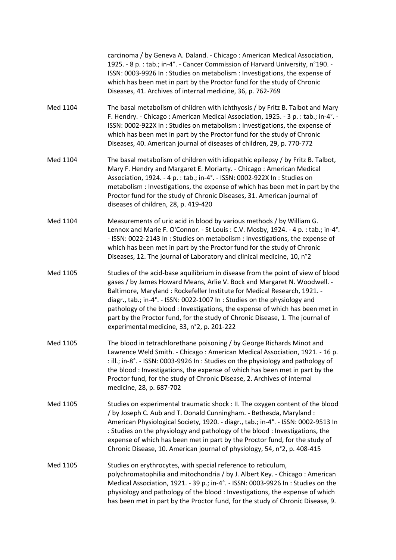|          | carcinoma / by Geneva A. Daland. - Chicago: American Medical Association,<br>1925. - 8 p. : tab.; in-4°. - Cancer Commission of Harvard University, n°190. -<br>ISSN: 0003-9926 In : Studies on metabolism : Investigations, the expense of<br>which has been met in part by the Proctor fund for the study of Chronic<br>Diseases, 41. Archives of internal medicine, 36, p. 762-769                                                                                                                                              |
|----------|------------------------------------------------------------------------------------------------------------------------------------------------------------------------------------------------------------------------------------------------------------------------------------------------------------------------------------------------------------------------------------------------------------------------------------------------------------------------------------------------------------------------------------|
| Med 1104 | The basal metabolism of children with ichthyosis / by Fritz B. Talbot and Mary<br>F. Hendry. - Chicago: American Medical Association, 1925. - 3 p. : tab.; in-4°. -<br>ISSN: 0002-922X In: Studies on metabolism: Investigations, the expense of<br>which has been met in part by the Proctor fund for the study of Chronic<br>Diseases, 40. American journal of diseases of children, 29, p. 770-772                                                                                                                              |
| Med 1104 | The basal metabolism of children with idiopathic epilepsy / by Fritz B. Talbot,<br>Mary F. Hendry and Margaret E. Moriarty. - Chicago: American Medical<br>Association, 1924. - 4 p. : tab.; in-4°. - ISSN: 0002-922X In : Studies on<br>metabolism : Investigations, the expense of which has been met in part by the<br>Proctor fund for the study of Chronic Diseases, 31. American journal of<br>diseases of children, 28, p. 419-420                                                                                          |
| Med 1104 | Measurements of uric acid in blood by various methods / by William G.<br>Lennox and Marie F. O'Connor. - St Louis: C.V. Mosby, 1924. - 4 p. : tab.; in-4°.<br>- ISSN: 0022-2143 In : Studies on metabolism : Investigations, the expense of<br>which has been met in part by the Proctor fund for the study of Chronic<br>Diseases, 12. The journal of Laboratory and clinical medicine, 10, n°2                                                                                                                                   |
| Med 1105 | Studies of the acid-base aquilibrium in disease from the point of view of blood<br>gases / by James Howard Means, Arlie V. Bock and Margaret N. Woodwell. -<br>Baltimore, Maryland: Rockefeller Institute for Medical Research, 1921. -<br>diagr., tab.; in-4°. - ISSN: 0022-1007 In: Studies on the physiology and<br>pathology of the blood: Investigations, the expense of which has been met in<br>part by the Proctor fund, for the study of Chronic Disease, 1. The journal of<br>experimental medicine, 33, n°2, p. 201-222 |
| Med 1105 | The blood in tetrachlorethane poisoning / by George Richards Minot and<br>Lawrence Weld Smith. - Chicago: American Medical Association, 1921. - 16 p.<br>: ill.; in-8°. - ISSN: 0003-9926 In: Studies on the physiology and pathology of<br>the blood: Investigations, the expense of which has been met in part by the<br>Proctor fund, for the study of Chronic Disease, 2. Archives of internal<br>medicine, 28, p. 687-702                                                                                                     |
| Med 1105 | Studies on experimental traumatic shock : II. The oxygen content of the blood<br>/ by Joseph C. Aub and T. Donald Cunningham. - Bethesda, Maryland:<br>American Physiological Society, 1920. - diagr., tab.; in-4°. - ISSN: 0002-9513 In<br>: Studies on the physiology and pathology of the blood : Investigations, the<br>expense of which has been met in part by the Proctor fund, for the study of<br>Chronic Disease, 10. American journal of physiology, 54, n°2, p. 408-415                                                |
| Med 1105 | Studies on erythrocytes, with special reference to reticulum,<br>polychromatophilia and mitochondria / by J. Albert Key. - Chicago: American<br>Medical Association, 1921. - 39 p.; in-4°. - ISSN: 0003-9926 In: Studies on the<br>physiology and pathology of the blood : Investigations, the expense of which<br>has been met in part by the Proctor fund, for the study of Chronic Disease, 9.                                                                                                                                  |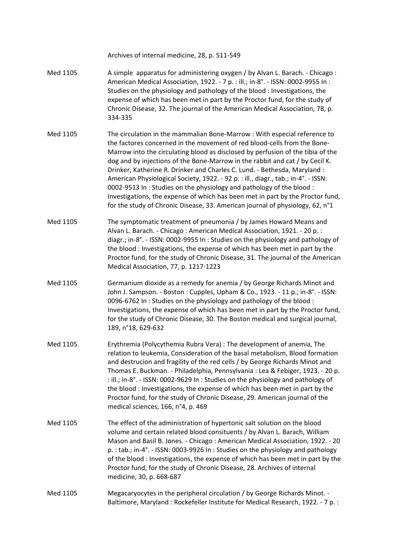|          | Archives of internal medicine, 28, p. 511-549                                                                                                                                                                                                                                                                                                                                                                                                                                                                                                                                                                                                                                                                                        |
|----------|--------------------------------------------------------------------------------------------------------------------------------------------------------------------------------------------------------------------------------------------------------------------------------------------------------------------------------------------------------------------------------------------------------------------------------------------------------------------------------------------------------------------------------------------------------------------------------------------------------------------------------------------------------------------------------------------------------------------------------------|
| Med 1105 | A simple apparatus for administering oxygen / by Alvan L. Barach. - Chicago:<br>American Medical Association, 1922. - 7 p. : ill.; in-8°. - ISSN: 0002-9955 In :<br>Studies on the physiology and pathology of the blood : Investigations, the<br>expense of which has been met in part by the Proctor fund, for the study of<br>Chronic Disease, 32. The journal of the American Medical Association, 78, p.<br>334-335                                                                                                                                                                                                                                                                                                             |
| Med 1105 | The circulation in the mammalian Bone-Marrow : With especial reference to<br>the factores concerned in the movement of red blood-cells from the Bone-<br>Marrow into the circulating blood as disclosed by perfusion of the tibia of the<br>dog and by injections of the Bone-Marrow in the rabbit and cat / by Cecil K.<br>Drinker, Katherine R. Drinker and Charles C. Lund. - Bethesda, Maryland:<br>American Physiological Society, 1922. - 92 p. : ill., diagr., tab.; in-4°. - ISSN:<br>0002-9513 In: Studies on the physiology and pathology of the blood:<br>Investigations, the expense of which has been met in part by the Proctor fund,<br>for the study of Chronic Disease, 33. American journal of physiology, 62, n°1 |
| Med 1105 | The symptomatic treatment of pneumonia / by James Howard Means and<br>Alvan L. Barach. - Chicago: American Medical Association, 1921. - 20 p.:<br>diagr.; in-8°. - ISSN: 0002-9955 In: Studies on the physiology and pathology of<br>the blood: Investigations, the expense of which has been met in part by the<br>Proctor fund, for the study of Chronic Disease, 31. The journal of the American<br>Medical Association, 77, p. 1217-1223                                                                                                                                                                                                                                                                                         |
| Med 1105 | Germanium dioxide as a remedy for anemia / by George Richards Minot and<br>John J. Sampson. - Boston: Cupples, Upham & Co., 1923. - 11 p.; in-8°. - ISSN:<br>0096-6762 In: Studies on the physiology and pathology of the blood:<br>Investigations, the expense of which has been met in part by the Proctor fund,<br>for the study of Chronic Disease, 30. The Boston medical and surgical journal,<br>189, n°18, 629-632                                                                                                                                                                                                                                                                                                           |
| Med 1105 | Erythremia (Polycythemia Rubra Vera) : The development of anemia, The<br>relation to leukemia, Consideration of the basal metabolism, Blood formation<br>and destrucion and fragility of the red cells / by George Richards Minot and<br>Thomas E. Buckman. - Philadelphia, Pennsylvania : Lea & Febiger, 1923. - 20 p.<br>: ill.; in-8°. - ISSN: 0002-9629 In: Studies on the physiology and pathology of<br>the blood: Investigations, the expense of which has been met in part by the<br>Proctor fund, for the study of Chronic Disease, 29. American journal of the<br>medical sciences, 166, n°4, p. 469                                                                                                                       |
| Med 1105 | The effect of the administration of hypertonic salt solution on the blood<br>volume and certain related blood consituents / by Alvan L. Barach, William<br>Mason and Basil B. Jones. - Chicago: American Medical Association, 1922. - 20<br>p. : tab.; in-4°. - ISSN: 0003-9926 In : Studies on the physiology and pathology<br>of the blood : Investigations, the expense of which has been met in part by the<br>Proctor fund, for the study of Chronic Disease, 28. Archives of internal<br>medicine, 30, p. 668-687                                                                                                                                                                                                              |
| Med 1105 | Megacaryocytes in the peripheral circulation / by George Richards Minot. -<br>Baltimore, Maryland: Rockefeller Institute for Medical Research, 1922. - 7 p.:                                                                                                                                                                                                                                                                                                                                                                                                                                                                                                                                                                         |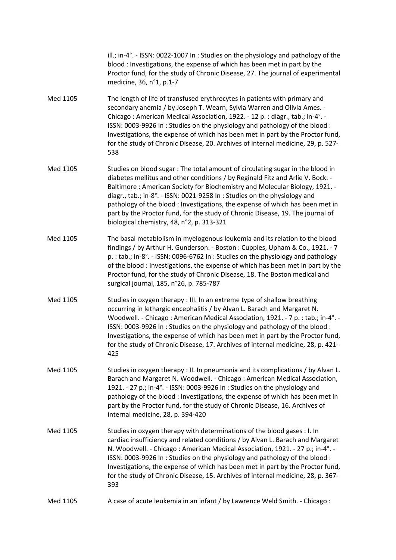ill.; in‐4°. ‐ ISSN: 0022‐1007 In : Studies on the physiology and pathology of the blood : Investigations, the expense of which has been met in part by the Proctor fund, for the study of Chronic Disease, 27. The journal of experimental medicine, 36, n°1, p.1‐7

- Med 1105 The length of life of transfused erythrocytes in patients with primary and secondary anemia / by Joseph T. Wearn, Sylvia Warren and Olivia Ames. ‐ Chicago : American Medical Association, 1922. ‐ 12 p. : diagr., tab.; in‐4°. ‐ ISSN: 0003‐9926 In : Studies on the physiology and pathology of the blood : Investigations, the expense of which has been met in part by the Proctor fund, for the study of Chronic Disease, 20. Archives of internal medicine, 29, p. 527‐ 538
- Med 1105 Studies on blood sugar : The total amount of circulating sugar in the blood in diabetes mellitus and other conditions / by Reginald Fitz and Arlie V. Bock. ‐ Baltimore : American Society for Biochemistry and Molecular Biology, 1921. ‐ diagr., tab.; in‐8°. ‐ ISSN: 0021‐9258 In : Studies on the physiology and pathology of the blood : Investigations, the expense of which has been met in part by the Proctor fund, for the study of Chronic Disease, 19. The journal of biological chemistry, 48, n°2, p. 313‐321
- Med 1105 The basal metablolism in myelogenous leukemia and its relation to the blood findings / by Arthur H. Gunderson. ‐ Boston : Cupples, Upham & Co., 1921. ‐ 7 p. : tab.; in‐8°. ‐ ISSN: 0096‐6762 In : Studies on the physiology and pathology of the blood : Investigations, the expense of which has been met in part by the Proctor fund, for the study of Chronic Disease, 18. The Boston medical and surgical journal, 185, n°26, p. 785‐787
- Med 1105 Studies in oxygen therapy : III. In an extreme type of shallow breathing occurring in lethargic encephalitis / by Alvan L. Barach and Margaret N. Woodwell. - Chicago : American Medical Association, 1921. - 7 p. : tab.; in-4°. -ISSN: 0003‐9926 In : Studies on the physiology and pathology of the blood : Investigations, the expense of which has been met in part by the Proctor fund, for the study of Chronic Disease, 17. Archives of internal medicine, 28, p. 421‐ 425
- Med 1105 Studies in oxygen therapy : II. In pneumonia and its complications / by Alvan L. Barach and Margaret N. Woodwell. ‐ Chicago : American Medical Association, 1921. ‐ 27 p.; in‐4°. ‐ ISSN: 0003‐9926 In : Studies on the physiology and pathology of the blood : Investigations, the expense of which has been met in part by the Proctor fund, for the study of Chronic Disease, 16. Archives of internal medicine, 28, p. 394‐420
- Med 1105 Studies in oxygen therapy with determinations of the blood gases : I. In cardiac insufficiency and related conditions / by Alvan L. Barach and Margaret N. Woodwell. ‐ Chicago : American Medical Association, 1921. ‐ 27 p.; in‐4°. ‐ ISSN: 0003‐9926 In : Studies on the physiology and pathology of the blood : Investigations, the expense of which has been met in part by the Proctor fund, for the study of Chronic Disease, 15. Archives of internal medicine, 28, p. 367‐ 393
- Med 1105 A case of acute leukemia in an infant / by Lawrence Weld Smith. Chicago :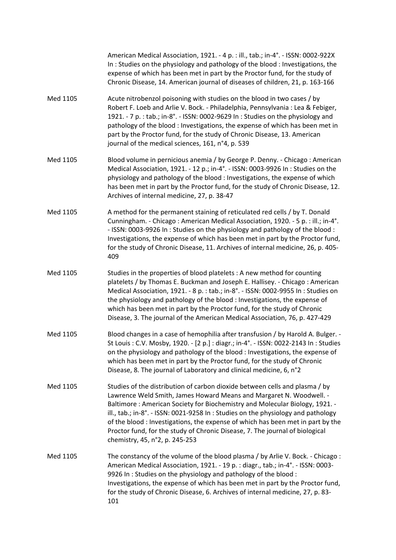|          | American Medical Association, 1921. - 4 p. : ill., tab.; in-4°. - ISSN: 0002-922X<br>In: Studies on the physiology and pathology of the blood: Investigations, the<br>expense of which has been met in part by the Proctor fund, for the study of<br>Chronic Disease, 14. American journal of diseases of children, 21, p. 163-166                                                                                                                                                                                        |
|----------|---------------------------------------------------------------------------------------------------------------------------------------------------------------------------------------------------------------------------------------------------------------------------------------------------------------------------------------------------------------------------------------------------------------------------------------------------------------------------------------------------------------------------|
| Med 1105 | Acute nitrobenzol poisoning with studies on the blood in two cases / by<br>Robert F. Loeb and Arlie V. Bock. - Philadelphia, Pennsylvania: Lea & Febiger,<br>1921. - 7 p. : tab.; in-8°. - ISSN: 0002-9629 In : Studies on the physiology and<br>pathology of the blood: Investigations, the expense of which has been met in<br>part by the Proctor fund, for the study of Chronic Disease, 13. American<br>journal of the medical sciences, 161, n°4, p. 539                                                            |
| Med 1105 | Blood volume in pernicious anemia / by George P. Denny. - Chicago : American<br>Medical Association, 1921. - 12 p.; in-4°. - ISSN: 0003-9926 In: Studies on the<br>physiology and pathology of the blood : Investigations, the expense of which<br>has been met in part by the Proctor fund, for the study of Chronic Disease, 12.<br>Archives of internal medicine, 27, p. 38-47                                                                                                                                         |
| Med 1105 | A method for the permanent staining of reticulated red cells / by T. Donald<br>Cunningham. - Chicago: American Medical Association, 1920. - 5 p. : ill.; in-4°.<br>- ISSN: 0003-9926 In: Studies on the physiology and pathology of the blood:<br>Investigations, the expense of which has been met in part by the Proctor fund,<br>for the study of Chronic Disease, 11. Archives of internal medicine, 26, p. 405-<br>409                                                                                               |
| Med 1105 | Studies in the properties of blood platelets : A new method for counting<br>platelets / by Thomas E. Buckman and Joseph E. Hallisey. - Chicago: American<br>Medical Association, 1921. - 8 p. : tab.; in-8°. - ISSN: 0002-9955 In : Studies on<br>the physiology and pathology of the blood : Investigations, the expense of<br>which has been met in part by the Proctor fund, for the study of Chronic<br>Disease, 3. The journal of the American Medical Association, 76, p. 427-429                                   |
| Med 1105 | Blood changes in a case of hemophilia after transfusion / by Harold A. Bulger. -<br>St Louis: C.V. Mosby, 1920. - [2 p.]: diagr.; in-4°. - ISSN: 0022-2143 In: Studies<br>on the physiology and pathology of the blood : Investigations, the expense of<br>which has been met in part by the Proctor fund, for the study of Chronic<br>Disease, 8. The journal of Laboratory and clinical medicine, 6, n°2                                                                                                                |
| Med 1105 | Studies of the distribution of carbon dioxide between cells and plasma / by<br>Lawrence Weld Smith, James Howard Means and Margaret N. Woodwell. -<br>Baltimore: American Society for Biochemistry and Molecular Biology, 1921. -<br>ill., tab.; in-8°. - ISSN: 0021-9258 In: Studies on the physiology and pathology<br>of the blood: Investigations, the expense of which has been met in part by the<br>Proctor fund, for the study of Chronic Disease, 7. The journal of biological<br>chemistry, 45, n°2, p. 245-253 |
| Med 1105 | The constancy of the volume of the blood plasma / by Arlie V. Bock. - Chicago:<br>American Medical Association, 1921. - 19 p. : diagr., tab.; in-4°. - ISSN: 0003-<br>9926 In: Studies on the physiology and pathology of the blood:<br>Investigations, the expense of which has been met in part by the Proctor fund,<br>for the study of Chronic Disease, 6. Archives of internal medicine, 27, p. 83-<br>101                                                                                                           |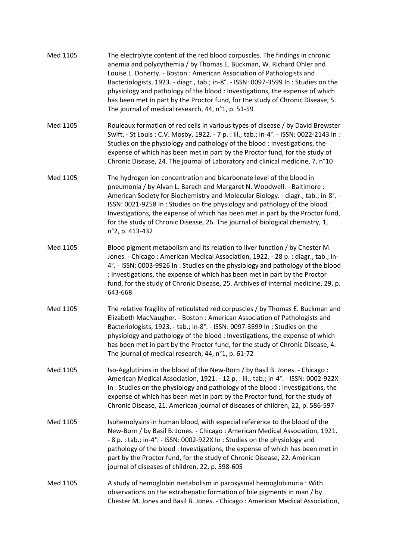| Med 1105 | The electrolyte content of the red blood corpuscles. The findings in chronic<br>anemia and polycythemia / by Thomas E. Buckman, W. Richard Ohler and<br>Louise L. Doherty. - Boston: American Association of Pathologists and<br>Bacteriologists, 1923. - diagr., tab.; in-8°. - ISSN: 0097-3599 In: Studies on the<br>physiology and pathology of the blood: Investigations, the expense of which<br>has been met in part by the Proctor fund, for the study of Chronic Disease, 5.<br>The journal of medical research, 44, n°1, p. 51-59 |
|----------|--------------------------------------------------------------------------------------------------------------------------------------------------------------------------------------------------------------------------------------------------------------------------------------------------------------------------------------------------------------------------------------------------------------------------------------------------------------------------------------------------------------------------------------------|
| Med 1105 | Rouleaux formation of red cells in various types of disease / by David Brewster<br>Swift. - St Louis: C.V. Mosby, 1922. - 7 p. : ill., tab.; in-4°. - ISSN: 0022-2143 In:<br>Studies on the physiology and pathology of the blood : Investigations, the<br>expense of which has been met in part by the Proctor fund, for the study of<br>Chronic Disease, 24. The journal of Laboratory and clinical medicine, 7, n°10                                                                                                                    |
| Med 1105 | The hydrogen ion concentration and bicarbonate level of the blood in<br>pneumonia / by Alvan L. Barach and Margaret N. Woodwell. - Baltimore :<br>American Society for Biochemistry and Molecular Biology. - diagr., tab.; in-8°. -<br>ISSN: 0021-9258 In: Studies on the physiology and pathology of the blood:<br>Investigations, the expense of which has been met in part by the Proctor fund,<br>for the study of Chronic Disease, 26. The journal of biological chemistry, 1,<br>n°2, p. 413-432                                     |
| Med 1105 | Blood pigment metabolism and its relation to liver function / by Chester M.<br>Jones. - Chicago: American Medical Association, 1922. - 28 p. : diagr., tab.; in-<br>4°. - ISSN: 0003-9926 In: Studies on the physiology and pathology of the blood<br>: Investigations, the expense of which has been met in part by the Proctor<br>fund, for the study of Chronic Disease, 25. Archives of internal medicine, 29, p.<br>643-668                                                                                                           |
| Med 1105 | The relative fragility of reticulated red corpuscles / by Thomas E. Buckman and<br>Elizabeth MacNaugher. - Boston: American Association of Pathologists and<br>Bacteriologists, 1923. - tab.; in-8°. - ISSN: 0097-3599 In: Studies on the<br>physiology and pathology of the blood : Investigations, the expense of which<br>has been met in part by the Proctor fund, for the study of Chronic Disease, 4.<br>The journal of medical research, 44, n°1, p. 61-72                                                                          |
| Med 1105 | Iso-Agglutinins in the blood of the New-Born / by Basil B. Jones. - Chicago:<br>American Medical Association, 1921. - 12 p. : ill., tab.; in-4°. - ISSN: 0002-922X<br>In: Studies on the physiology and pathology of the blood: Investigations, the<br>expense of which has been met in part by the Proctor fund, for the study of<br>Chronic Disease, 21. American journal of diseases of children, 22, p. 586-597                                                                                                                        |
| Med 1105 | Isohemolysins in human blood, with especial reference to the blood of the<br>New-Born / by Basil B. Jones. - Chicago: American Medical Association, 1921.<br>- 8 p. : tab.; in-4°. - ISSN: 0002-922X In : Studies on the physiology and<br>pathology of the blood : Investigations, the expense of which has been met in<br>part by the Proctor fund, for the study of Chronic Disease, 22. American<br>journal of diseases of children, 22, p. 598-605                                                                                    |
| Med 1105 | A study of hemoglobin metabolism in paroxysmal hemoglobinuria : With<br>observations on the extrahepatic formation of bile pigments in man / by<br>Chester M. Jones and Basil B. Jones. - Chicago: American Medical Association,                                                                                                                                                                                                                                                                                                           |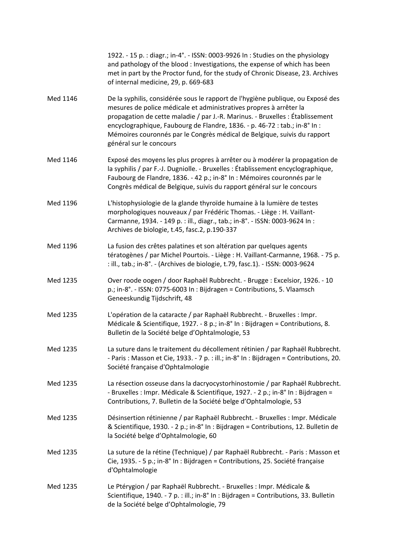|          | 1922. - 15 p. : diagr.; in-4°. - ISSN: 0003-9926 In : Studies on the physiology<br>and pathology of the blood : Investigations, the expense of which has been<br>met in part by the Proctor fund, for the study of Chronic Disease, 23. Archives<br>of internal medicine, 29, p. 669-683                                                                                                                                    |
|----------|-----------------------------------------------------------------------------------------------------------------------------------------------------------------------------------------------------------------------------------------------------------------------------------------------------------------------------------------------------------------------------------------------------------------------------|
| Med 1146 | De la syphilis, considérée sous le rapport de l'hygiène publique, ou Exposé des<br>mesures de police médicale et administratives propres à arrêter la<br>propagation de cette maladie / par J.-R. Marinus. - Bruxelles : Établissement<br>encyclographique, Faubourg de Flandre, 1836. - p. 46-72 : tab.; in-8° In :<br>Mémoires couronnés par le Congrès médical de Belgique, suivis du rapport<br>général sur le concours |
| Med 1146 | Exposé des moyens les plus propres à arrêter ou à modérer la propagation de<br>la syphilis / par F.-J. Dugniolle. - Bruxelles : Établissement encyclographique,<br>Faubourg de Flandre, 1836. - 42 p.; in-8° In : Mémoires couronnés par le<br>Congrès médical de Belgique, suivis du rapport général sur le concours                                                                                                       |
| Med 1196 | L'histophysiologie de la glande thyroïde humaine à la lumière de testes<br>morphologiques nouveaux / par Frédéric Thomas. - Liège : H. Vaillant-<br>Carmanne, 1934. - 149 p. : ill., diagr., tab.; in-8°. - ISSN: 0003-9624 In :<br>Archives de biologie, t.45, fasc.2, p.190-337                                                                                                                                           |
| Med 1196 | La fusion des crêtes palatines et son altération par quelques agents<br>tératogènes / par Michel Pourtois. - Liège : H. Vaillant-Carmanne, 1968. - 75 p.<br>: ill., tab.; in-8°. - (Archives de biologie, t.79, fasc.1). - ISSN: 0003-9624                                                                                                                                                                                  |
| Med 1235 | Over roode oogen / door Raphaël Rubbrecht. - Brugge : Excelsior, 1926. - 10<br>p.; in-8°. - ISSN: 0775-6003 In: Bijdragen = Contributions, 5. Vlaamsch<br>Geneeskundig Tijdschrift, 48                                                                                                                                                                                                                                      |
| Med 1235 | L'opération de la cataracte / par Raphaël Rubbrecht. - Bruxelles : Impr.<br>Médicale & Scientifique, 1927. - 8 p.; in-8° In : Bijdragen = Contributions, 8.<br>Bulletin de la Société belge d'Ophtalmologie, 53                                                                                                                                                                                                             |
| Med 1235 | La suture dans le traitement du décollement rétinien / par Raphaël Rubbrecht.<br>- Paris: Masson et Cie, 1933. - 7 p. : ill.; in-8° In : Bijdragen = Contributions, 20.<br>Société française d'Ophtalmologie                                                                                                                                                                                                                |
| Med 1235 | La résection osseuse dans la dacryocystorhinostomie / par Raphaël Rubbrecht.<br>- Bruxelles : Impr. Médicale & Scientifique, 1927. - 2 p.; in-8° In : Bijdragen =<br>Contributions, 7. Bulletin de la Société belge d'Ophtalmologie, 53                                                                                                                                                                                     |
| Med 1235 | Désinsertion rétinienne / par Raphaël Rubbrecht. - Bruxelles : Impr. Médicale<br>& Scientifique, 1930. - 2 p.; in-8° In : Bijdragen = Contributions, 12. Bulletin de<br>la Société belge d'Ophtalmologie, 60                                                                                                                                                                                                                |
| Med 1235 | La suture de la rétine (Technique) / par Raphaël Rubbrecht. - Paris : Masson et<br>Cie, 1935. - 5 p.; in-8° In : Bijdragen = Contributions, 25. Société française<br>d'Ophtalmologie                                                                                                                                                                                                                                        |
| Med 1235 | Le Ptérygion / par Raphaël Rubbrecht. - Bruxelles : Impr. Médicale &<br>Scientifique, 1940. - 7 p. : ill.; in-8° In : Bijdragen = Contributions, 33. Bulletin<br>de la Société belge d'Ophtalmologie, 79                                                                                                                                                                                                                    |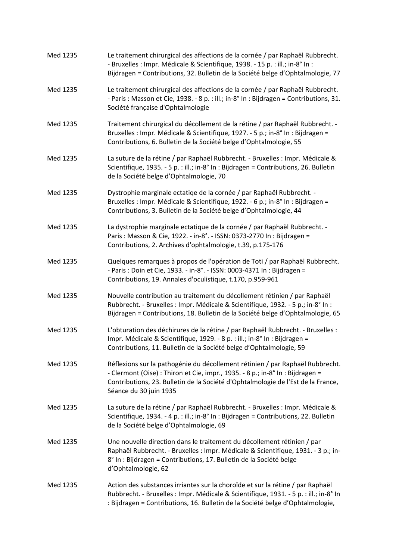| Med 1235 | Le traitement chirurgical des affections de la cornée / par Raphaël Rubbrecht.<br>- Bruxelles : Impr. Médicale & Scientifique, 1938. - 15 p. : ill.; in-8° In :<br>Bijdragen = Contributions, 32. Bulletin de la Société belge d'Ophtalmologie, 77                            |
|----------|-------------------------------------------------------------------------------------------------------------------------------------------------------------------------------------------------------------------------------------------------------------------------------|
| Med 1235 | Le traitement chirurgical des affections de la cornée / par Raphaël Rubbrecht.<br>- Paris: Masson et Cie, 1938. - 8 p. : ill.; in-8° In : Bijdragen = Contributions, 31.<br>Société française d'Ophtalmologie                                                                 |
| Med 1235 | Traitement chirurgical du décollement de la rétine / par Raphaël Rubbrecht. -<br>Bruxelles : Impr. Médicale & Scientifique, 1927. - 5 p.; in-8° In : Bijdragen =<br>Contributions, 6. Bulletin de la Société belge d'Ophtalmologie, 55                                        |
| Med 1235 | La suture de la rétine / par Raphaël Rubbrecht. - Bruxelles : Impr. Médicale &<br>Scientifique, 1935. - 5 p. : ill.; in-8° In : Bijdragen = Contributions, 26. Bulletin<br>de la Société belge d'Ophtalmologie, 70                                                            |
| Med 1235 | Dystrophie marginale ectatiqe de la cornée / par Raphaël Rubbrecht. -<br>Bruxelles : Impr. Médicale & Scientifique, 1922. - 6 p.; in-8° In : Bijdragen =<br>Contributions, 3. Bulletin de la Société belge d'Ophtalmologie, 44                                                |
| Med 1235 | La dystrophie marginale ectatique de la cornée / par Raphaël Rubbrecht. -<br>Paris: Masson & Cie, 1922. - in-8°. - ISSN: 0373-2770 In: Bijdragen =<br>Contributions, 2. Archives d'ophtalmologie, t.39, p.175-176                                                             |
| Med 1235 | Quelques remarques à propos de l'opération de Toti / par Raphaël Rubbrecht.<br>- Paris: Doin et Cie, 1933. - in-8°. - ISSN: 0003-4371 In: Bijdragen =<br>Contributions, 19. Annales d'oculistique, t.170, p.959-961                                                           |
| Med 1235 | Nouvelle contribution au traitement du décollement rétinien / par Raphaël<br>Rubbrecht. - Bruxelles : Impr. Médicale & Scientifique, 1932. - 5 p.; in-8° In :<br>Bijdragen = Contributions, 18. Bulletin de la Société belge d'Ophtalmologie, 65                              |
| Med 1235 | L'obturation des déchirures de la rétine / par Raphaël Rubbrecht. - Bruxelles :<br>Impr. Médicale & Scientifique, 1929. - 8 p. : ill.; in-8° In : Bijdragen =<br>Contributions, 11. Bulletin de la Société belge d'Ophtalmologie, 59                                          |
| Med 1235 | Réflexions sur la pathogénie du décollement rétinien / par Raphaël Rubbrecht.<br>- Clermont (Oise) : Thiron et Cie, impr., 1935. - 8 p.; in-8° In : Bijdragen =<br>Contributions, 23. Bulletin de la Société d'Ophtalmologie de l'Est de la France,<br>Séance du 30 juin 1935 |
| Med 1235 | La suture de la rétine / par Raphaël Rubbrecht. - Bruxelles : Impr. Médicale &<br>Scientifique, 1934. - 4 p. : ill.; in-8° In : Bijdragen = Contributions, 22. Bulletin<br>de la Société belge d'Ophtalmologie, 69                                                            |
| Med 1235 | Une nouvelle direction dans le traitement du décollement rétinien / par<br>Raphaël Rubbrecht. - Bruxelles : Impr. Médicale & Scientifique, 1931. - 3 p.; in-<br>8° In : Bijdragen = Contributions, 17. Bulletin de la Société belge<br>d'Ophtalmologie, 62                    |
| Med 1235 | Action des substances irriantes sur la choroïde et sur la rétine / par Raphaël<br>Rubbrecht. - Bruxelles : Impr. Médicale & Scientifique, 1931. - 5 p. : ill.; in-8° In<br>: Bijdragen = Contributions, 16. Bulletin de la Société belge d'Ophtalmologie,                     |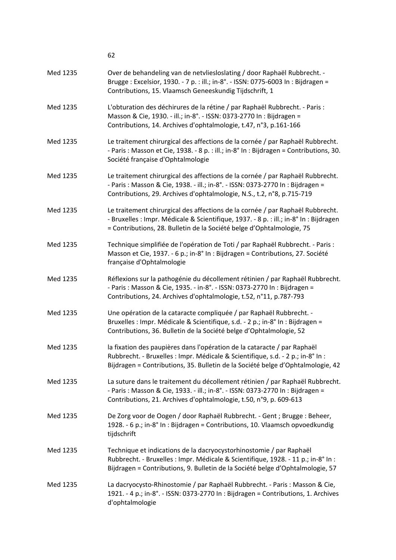|          | 62                                                                                                                                                                                                                                                |
|----------|---------------------------------------------------------------------------------------------------------------------------------------------------------------------------------------------------------------------------------------------------|
| Med 1235 | Over de behandeling van de netvliesloslating / door Raphaël Rubbrecht. -<br>Brugge: Excelsior, 1930. - 7 p. : ill.; in-8°. - ISSN: 0775-6003 In : Bijdragen =<br>Contributions, 15. Vlaamsch Geneeskundig Tijdschrift, 1                          |
| Med 1235 | L'obturation des déchirures de la rétine / par Raphaël Rubbrecht. - Paris :<br>Masson & Cie, 1930. - ill.; in-8°. - ISSN: 0373-2770 In: Bijdragen =<br>Contributions, 14. Archives d'ophtalmologie, t.47, n°3, p.161-166                          |
| Med 1235 | Le traitement chirurgical des affections de la cornée / par Raphaël Rubbrecht.<br>- Paris: Masson et Cie, 1938. - 8 p. : ill.; in-8° In : Bijdragen = Contributions, 30.<br>Société française d'Ophtalmologie                                     |
| Med 1235 | Le traitement chirurgical des affections de la cornée / par Raphaël Rubbrecht.<br>- Paris: Masson & Cie, 1938. - ill.; in-8°. - ISSN: 0373-2770 In: Bijdragen =<br>Contributions, 29. Archives d'ophtalmologie, N.S., t.2, n°8, p.715-719         |
| Med 1235 | Le traitement chirurgical des affections de la cornée / par Raphaël Rubbrecht.<br>- Bruxelles : Impr. Médicale & Scientifique, 1937. - 8 p. : ill.; in-8° In : Bijdragen<br>= Contributions, 28. Bulletin de la Société belge d'Ophtalmologie, 75 |
| Med 1235 | Technique simplifiée de l'opération de Toti / par Raphaël Rubbrecht. - Paris :<br>Masson et Cie, 1937. - 6 p.; in-8° In : Bijdragen = Contributions, 27. Société<br>française d'Ophtalmologie                                                     |
| Med 1235 | Réflexions sur la pathogénie du décollement rétinien / par Raphaël Rubbrecht.<br>- Paris: Masson & Cie, 1935. - in-8°. - ISSN: 0373-2770 In: Bijdragen =<br>Contributions, 24. Archives d'ophtalmologie, t.52, n°11, p.787-793                    |
| Med 1235 | Une opération de la cataracte compliquée / par Raphaël Rubbrecht. -<br>Bruxelles : Impr. Médicale & Scientifique, s.d. - 2 p.; in-8° In : Bijdragen =<br>Contributions, 36. Bulletin de la Société belge d'Ophtalmologie, 52                      |
| Med 1235 | la fixation des paupières dans l'opération de la cataracte / par Raphaël<br>Rubbrecht. - Bruxelles : Impr. Médicale & Scientifique, s.d. - 2 p.; in-8° In :<br>Bijdragen = Contributions, 35. Bulletin de la Société belge d'Ophtalmologie, 42    |
| Med 1235 | La suture dans le traitement du décollement rétinien / par Raphaël Rubbrecht.<br>- Paris: Masson & Cie, 1933. - ill.; in-8°. - ISSN: 0373-2770 In: Bijdragen =<br>Contributions, 21. Archives d'ophtalmologie, t.50, n°9, p. 609-613              |
| Med 1235 | De Zorg voor de Oogen / door Raphaël Rubbrecht. - Gent ; Brugge : Beheer,<br>1928. - 6 p.; in-8° In : Bijdragen = Contributions, 10. Vlaamsch opvoedkundig<br>tijdschrift                                                                         |
| Med 1235 | Technique et indications de la dacryocystorhinostomie / par Raphaël<br>Rubbrecht. - Bruxelles : Impr. Médicale & Scientifique, 1928. - 11 p.; in-8° In :<br>Bijdragen = Contributions, 9. Bulletin de la Société belge d'Ophtalmologie, 57        |
| Med 1235 | La dacryocysto-Rhinostomie / par Raphaël Rubbrecht. - Paris: Masson & Cie,<br>1921. - 4 p.; in-8°. - ISSN: 0373-2770 In: Bijdragen = Contributions, 1. Archives<br>d'ophtalmologie                                                                |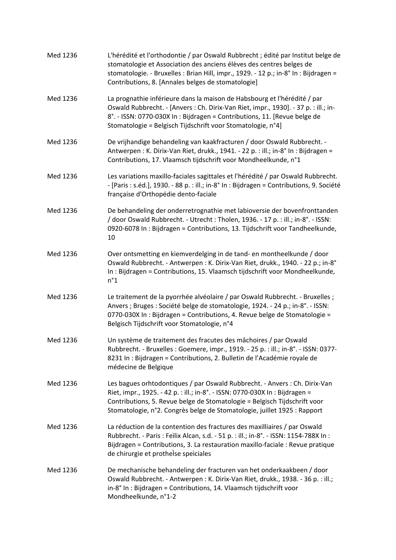| Med 1236 | L'hérédité et l'orthodontie / par Oswald Rubbrecht ; édité par Institut belge de<br>stomatologie et Association des anciens élèves des centres belges de<br>stomatologie. - Bruxelles : Brian Hill, impr., 1929. - 12 p.; in-8° In : Bijdragen =<br>Contributions, 8. [Annales belges de stomatologie]              |
|----------|---------------------------------------------------------------------------------------------------------------------------------------------------------------------------------------------------------------------------------------------------------------------------------------------------------------------|
| Med 1236 | La prognathie inférieure dans la maison de Habsbourg et l'hérédité / par<br>Oswald Rubbrecht. - [Anvers : Ch. Dirix-Van Riet, impr., 1930]. - 37 p. : ill.; in-<br>8°. - ISSN: 0770-030X In: Bijdragen = Contributions, 11. [Revue belge de<br>Stomatologie = Belgisch Tijdschrift voor Stomatologie, n°4]          |
| Med 1236 | De vrijhandige behandeling van kaakfracturen / door Oswald Rubbrecht. -<br>Antwerpen: K. Dirix-Van Riet, drukk., 1941. - 22 p. : ill.; in-8° In: Bijdragen =<br>Contributions, 17. Vlaamsch tijdschrift voor Mondheelkunde, n°1                                                                                     |
| Med 1236 | Les variations maxillo-faciales sagittales et l'hérédité / par Oswald Rubbrecht.<br>- [Paris : s.éd.], 1930. - 88 p. : ill.; in-8° In : Bijdragen = Contributions, 9. Société<br>française d'Orthopédie dento-faciale                                                                                               |
| Med 1236 | De behandeling der onderretrognathie met labioversie der bovenfronttanden<br>/ door Oswald Rubbrecht. - Utrecht: Tholen, 1936. - 17 p.: ill.; in-8°. - ISSN:<br>0920-6078 In: Bijdragen = Contributions, 13. Tijdschrift voor Tandheelkunde,<br>10                                                                  |
| Med 1236 | Over ontsmetting en kiemverdelging in de tand- en montheelkunde / door<br>Oswald Rubbrecht. - Antwerpen: K. Dirix-Van Riet, drukk., 1940. - 22 p.; in-8°<br>In: Bijdragen = Contributions, 15. Vlaamsch tijdschrift voor Mondheelkunde,<br>$n^{\circ}1$                                                             |
| Med 1236 | Le traitement de la pyorrhée alvéolaire / par Oswald Rubbrecht. - Bruxelles ;<br>Anvers ; Bruges : Société belge de stomatologie, 1924. - 24 p.; in-8°. - ISSN:<br>0770-030X In : Bijdragen = Contributions, 4. Revue belge de Stomatologie =<br>Belgisch Tijdschrift voor Stomatologie, n°4                        |
| Med 1236 | Un système de traitement des fracutes des mâchoires / par Oswald<br>Rubbrecht. - Bruxelles : Goemere, impr., 1919. - 25 p. : ill.; in-8°. - ISSN: 0377-<br>8231 In : Bijdragen = Contributions, 2. Bulletin de l'Académie royale de<br>médecine de Belgique                                                         |
| Med 1236 | Les bagues orhtodontiques / par Oswald Rubbrecht. - Anvers : Ch. Dirix-Van<br>Riet, impr., 1925. - 42 p. : ill.; in-8°. - ISSN: 0770-030X In : Bijdragen =<br>Contributions, 5. Revue belge de Stomatologie = Belgisch Tijdschrift voor<br>Stomatologie, n°2. Congrès belge de Stomatologie, juillet 1925 : Rapport |
| Med 1236 | La réduction de la contention des fractures des maxilliaires / par Oswald<br>Rubbrecht. - Paris: Feìlix Alcan, s.d. - 51 p. : ill.; in-8°. - ISSN: 1154-788X In:<br>Bijdragen = Contributions, 3. La restauration maxillo-faciale : Revue pratique<br>de chirurgie et prothelse speiciales                          |
| Med 1236 | De mechanische behandeling der fracturen van het onderkaakbeen / door<br>Oswald Rubbrecht. - Antwerpen: K. Dirix-Van Riet, drukk., 1938. - 36 p. : ill.;<br>in-8° In : Bijdragen = Contributions, 14. Vlaamsch tijdschrift voor<br>Mondheelkunde, n°1-2                                                             |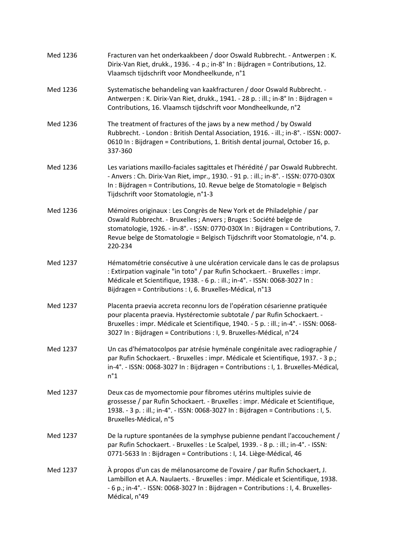| Med 1236 | Fracturen van het onderkaakbeen / door Oswald Rubbrecht. - Antwerpen: K.<br>Dirix-Van Riet, drukk., 1936. - 4 p.; in-8° In : Bijdragen = Contributions, 12.<br>Vlaamsch tijdschrift voor Mondheelkunde, n°1                                                                                                                 |
|----------|-----------------------------------------------------------------------------------------------------------------------------------------------------------------------------------------------------------------------------------------------------------------------------------------------------------------------------|
| Med 1236 | Systematische behandeling van kaakfracturen / door Oswald Rubbrecht. -<br>Antwerpen : K. Dirix-Van Riet, drukk., 1941. - 28 p. : ill.; in-8° In : Bijdragen =<br>Contributions, 16. Vlaamsch tijdschrift voor Mondheelkunde, n°2                                                                                            |
| Med 1236 | The treatment of fractures of the jaws by a new method / by Oswald<br>Rubbrecht. - London: British Dental Association, 1916. - ill.; in-8°. - ISSN: 0007-<br>0610 In: Bijdragen = Contributions, 1. British dental journal, October 16, p.<br>337-360                                                                       |
| Med 1236 | Les variations maxillo-faciales sagittales et l'hérédité / par Oswald Rubbrecht.<br>- Anvers: Ch. Dirix-Van Riet, impr., 1930. - 91 p.: ill.; in-8°. - ISSN: 0770-030X<br>In : Bijdragen = Contributions, 10. Revue belge de Stomatologie = Belgisch<br>Tijdschrift voor Stomatologie, n°1-3                                |
| Med 1236 | Mémoires originaux : Les Congrès de New York et de Philadelphie / par<br>Oswald Rubbrecht. - Bruxelles ; Anvers ; Bruges : Société belge de<br>stomatologie, 1926. - in-8°. - ISSN: 0770-030X In: Bijdragen = Contributions, 7.<br>Revue belge de Stomatologie = Belgisch Tijdschrift voor Stomatologie, n°4. p.<br>220-234 |
| Med 1237 | Hématométrie consécutive à une ulcération cervicale dans le cas de prolapsus<br>: Extirpation vaginale "in toto" / par Rufin Schockaert. - Bruxelles : impr.<br>Médicale et Scientifique, 1938. - 6 p. : ill.; in-4°. - ISSN: 0068-3027 In :<br>Bijdragen = Contributions : I, 6. Bruxelles-Médical, n°13                   |
| Med 1237 | Placenta praevia accreta reconnu lors de l'opération césarienne pratiquée<br>pour placenta praevia. Hystérectomie subtotale / par Rufin Schockaert. -<br>Bruxelles : impr. Médicale et Scientifique, 1940. - 5 p. : ill.; in-4°. - ISSN: 0068-<br>3027 In : Bijdragen = Contributions : I, 9. Bruxelles-Médical, n°24       |
| Med 1237 | Un cas d'hématocolpos par atrésie hyménale congénitale avec radiographie /<br>par Rufin Schockaert. - Bruxelles : impr. Médicale et Scientifique, 1937. - 3 p.;<br>in-4°. - ISSN: 0068-3027 In: Bijdragen = Contributions: I, 1. Bruxelles-Médical,<br>$n^{\circ}1$                                                         |
| Med 1237 | Deux cas de myomectomie pour fibromes utérins multiples suivie de<br>grossesse / par Rufin Schockaert. - Bruxelles : impr. Médicale et Scientifique,<br>1938. - 3 p. : ill.; in-4°. - ISSN: 0068-3027 In : Bijdragen = Contributions : I, 5.<br>Bruxelles-Médical, n°5                                                      |
| Med 1237 | De la rupture spontanées de la symphyse pubienne pendant l'accouchement /<br>par Rufin Schockaert. - Bruxelles : Le Scalpel, 1939. - 8 p. : ill.; in-4°. - ISSN:<br>0771-5633 In : Bijdragen = Contributions : I, 14. Liège-Médical, 46                                                                                     |
| Med 1237 | À propos d'un cas de mélanosarcome de l'ovaire / par Rufin Schockaert, J.<br>Lambillon et A.A. Naulaerts. - Bruxelles : impr. Médicale et Scientifique, 1938.<br>- 6 p.; in-4°. - ISSN: 0068-3027 In : Bijdragen = Contributions : I, 4. Bruxelles-<br>Médical, n°49                                                        |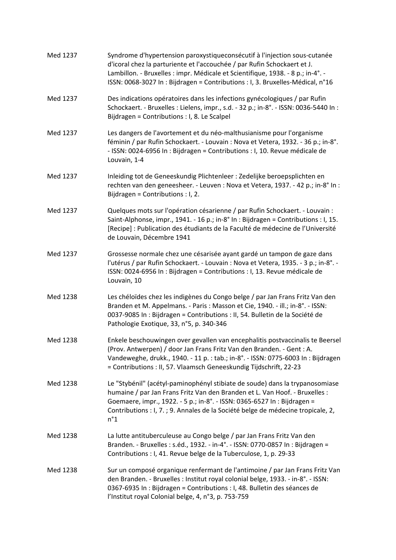| Med 1237 | Syndrome d'hypertension paroxystiqueconsécutif à l'injection sous-cutanée<br>d'icoral chez la parturiente et l'accouchée / par Rufin Schockaert et J.<br>Lambillon. - Bruxelles : impr. Médicale et Scientifique, 1938. - 8 p.; in-4°. -<br>ISSN: 0068-3027 In : Bijdragen = Contributions : I, 3. Bruxelles-Médical, n°16                 |
|----------|--------------------------------------------------------------------------------------------------------------------------------------------------------------------------------------------------------------------------------------------------------------------------------------------------------------------------------------------|
| Med 1237 | Des indications opératoires dans les infections gynécologiques / par Rufin<br>Schockaert. - Bruxelles : Lielens, impr., s.d. - 32 p.; in-8°. - ISSN: 0036-5440 In :<br>Bijdragen = Contributions : I, 8. Le Scalpel                                                                                                                        |
| Med 1237 | Les dangers de l'avortement et du néo-malthusianisme pour l'organisme<br>féminin / par Rufin Schockaert. - Louvain : Nova et Vetera, 1932. - 36 p.; in-8°.<br>- ISSN: 0024-6956 In : Bijdragen = Contributions : I, 10. Revue médicale de<br>Louvain, 1-4                                                                                  |
| Med 1237 | Inleiding tot de Geneeskundig Plichtenleer : Zedelijke beroepsplichten en<br>rechten van den geneesheer. - Leuven : Nova et Vetera, 1937. - 42 p.; in-8° In :<br>Bijdragen = Contributions : I, 2.                                                                                                                                         |
| Med 1237 | Quelques mots sur l'opération césarienne / par Rufin Schockaert. - Louvain :<br>Saint-Alphonse, impr., 1941. - 16 p.; in-8° In : Bijdragen = Contributions : I, 15.<br>[Recipe] : Publication des étudiants de la Faculté de médecine de l'Université<br>de Louvain, Décembre 1941                                                         |
| Med 1237 | Grossesse normale chez une césarisée ayant gardé un tampon de gaze dans<br>l'utérus / par Rufin Schockaert. - Louvain : Nova et Vetera, 1935. - 3 p.; in-8°. -<br>ISSN: 0024-6956 In : Bijdragen = Contributions : I, 13. Revue médicale de<br>Louvain, 10                                                                                 |
| Med 1238 | Les chéloïdes chez les indigènes du Congo belge / par Jan Frans Fritz Van den<br>Branden et M. Appelmans. - Paris: Masson et Cie, 1940. - ill.; in-8°. - ISSN:<br>0037-9085 In : Bijdragen = Contributions : II, 54. Bulletin de la Société de<br>Pathologie Exotique, 33, n°5, p. 340-346                                                 |
| Med 1238 | Enkele beschouwingen over gevallen van encephalitis postvaccinalis te Beersel<br>(Prov. Antwerpen) / door Jan Frans Fritz Van den Branden. - Gent : A.<br>Vandeweghe, drukk., 1940. - 11 p. : tab.; in-8°. - ISSN: 0775-6003 In : Bijdragen<br>= Contributions : II, 57. Vlaamsch Geneeskundig Tijdschrift, 22-23                          |
| Med 1238 | Le "Stybénil" (acétyl-paminophényl stibiate de soude) dans la trypanosomiase<br>humaine / par Jan Frans Fritz Van den Branden et L. Van Hoof. - Bruxelles :<br>Goemaere, impr., 1922. - 5 p.; in-8°. - ISSN: 0365-6527 In: Bijdragen =<br>Contributions : I, 7. ; 9. Annales de la Société belge de médecine tropicale, 2,<br>$n^{\circ}1$ |
| Med 1238 | La lutte antituberculeuse au Congo belge / par Jan Frans Fritz Van den<br>Branden. - Bruxelles : s.éd., 1932. - in-4°. - ISSN: 0770-0857 In : Bijdragen =<br>Contributions : I, 41. Revue belge de la Tuberculose, 1, p. 29-33                                                                                                             |
| Med 1238 | Sur un composé organique renfermant de l'antimoine / par Jan Frans Fritz Van<br>den Branden. - Bruxelles : Institut royal colonial belge, 1933. - in-8°. - ISSN:<br>0367-6935 In : Bijdragen = Contributions : I, 48. Bulletin des séances de<br>l'Institut royal Colonial belge, 4, n°3, p. 753-759                                       |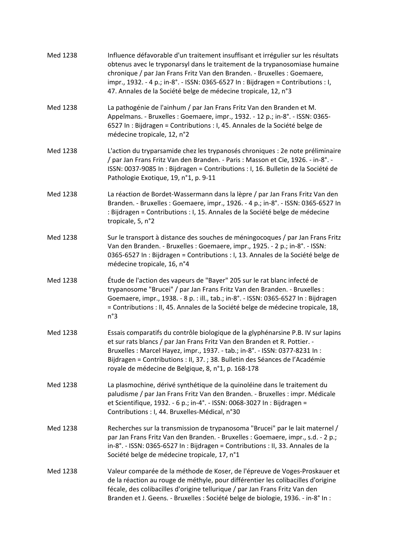| Med 1238 | Influence défavorable d'un traitement insuffisant et irrégulier sur les résultats<br>obtenus avec le tryponarsyl dans le traitement de la trypanosomiase humaine<br>chronique / par Jan Frans Fritz Van den Branden. - Bruxelles : Goemaere,<br>impr., 1932. - 4 p.; in-8°. - ISSN: 0365-6527 In : Bijdragen = Contributions : I,<br>47. Annales de la Société belge de médecine tropicale, 12, n°3 |
|----------|-----------------------------------------------------------------------------------------------------------------------------------------------------------------------------------------------------------------------------------------------------------------------------------------------------------------------------------------------------------------------------------------------------|
| Med 1238 | La pathogénie de l'ainhum / par Jan Frans Fritz Van den Branden et M.<br>Appelmans. - Bruxelles : Goemaere, impr., 1932. - 12 p.; in-8°. - ISSN: 0365-<br>6527 In : Bijdragen = Contributions : I, 45. Annales de la Société belge de<br>médecine tropicale, 12, n°2                                                                                                                                |
| Med 1238 | L'action du tryparsamide chez les trypanosés chroniques : 2e note préliminaire<br>/ par Jan Frans Fritz Van den Branden. - Paris : Masson et Cie, 1926. - in-8°. -<br>ISSN: 0037-9085 In : Bijdragen = Contributions : I, 16. Bulletin de la Société de<br>Pathologie Exotique, 19, n°1, p. 9-11                                                                                                    |
| Med 1238 | La réaction de Bordet-Wassermann dans la lèpre / par Jan Frans Fritz Van den<br>Branden. - Bruxelles : Goemaere, impr., 1926. - 4 p.; in-8°. - ISSN: 0365-6527 In<br>: Bijdragen = Contributions : I, 15. Annales de la Société belge de médecine<br>tropicale, 5, n°2                                                                                                                              |
| Med 1238 | Sur le transport à distance des souches de méningocoques / par Jan Frans Fritz<br>Van den Branden. - Bruxelles : Goemaere, impr., 1925. - 2 p.; in-8°. - ISSN:<br>0365-6527 In : Bijdragen = Contributions : I, 13. Annales de la Société belge de<br>médecine tropicale, 16, n°4                                                                                                                   |
| Med 1238 | Étude de l'action des vapeurs de "Bayer" 205 sur le rat blanc infecté de<br>trypanosome "Brucei" / par Jan Frans Fritz Van den Branden. - Bruxelles :<br>Goemaere, impr., 1938. - 8 p. : ill., tab.; in-8°. - ISSN: 0365-6527 In : Bijdragen<br>= Contributions : II, 45. Annales de la Société belge de médecine tropicale, 18,<br>n°3                                                             |
| Med 1238 | Essais comparatifs du contrôle biologique de la glyphénarsine P.B. IV sur lapins<br>et sur rats blancs / par Jan Frans Fritz Van den Branden et R. Pottier. -<br>Bruxelles : Marcel Hayez, impr., 1937. - tab.; in-8°. - ISSN: 0377-8231 In :<br>Bijdragen = Contributions : II, 37. ; 38. Bulletin des Séances de l'Académie<br>royale de médecine de Belgique, 8, n°1, p. 168-178                 |
| Med 1238 | La plasmochine, dérivé synthétique de la quinoléine dans le traitement du<br>paludisme / par Jan Frans Fritz Van den Branden. - Bruxelles : impr. Médicale<br>et Scientifique, 1932. - 6 p.; in-4°. - ISSN: 0068-3027 In : Bijdragen =<br>Contributions : I, 44. Bruxelles-Médical, n°30                                                                                                            |
| Med 1238 | Recherches sur la transmission de trypanosoma "Brucei" par le lait maternel /<br>par Jan Frans Fritz Van den Branden. - Bruxelles : Goemaere, impr., s.d. - 2 p.;<br>in-8°. - ISSN: 0365-6527 In: Bijdragen = Contributions: II, 33. Annales de la<br>Société belge de médecine tropicale, 17, n°1                                                                                                  |
| Med 1238 | Valeur comparée de la méthode de Koser, de l'épreuve de Voges-Proskauer et<br>de la réaction au rouge de méthyle, pour différentier les colibacilles d'origine<br>fécale, des colibacilles d'origine tellurique / par Jan Frans Fritz Van den<br>Branden et J. Geens. - Bruxelles : Société belge de biologie, 1936. - in-8° In :                                                                   |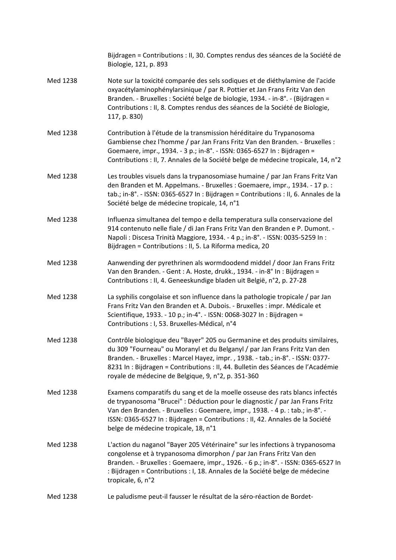|          | Bijdragen = Contributions : II, 30. Comptes rendus des séances de la Société de<br>Biologie, 121, p. 893                                                                                                                                                                                                                                                                             |
|----------|--------------------------------------------------------------------------------------------------------------------------------------------------------------------------------------------------------------------------------------------------------------------------------------------------------------------------------------------------------------------------------------|
| Med 1238 | Note sur la toxicité comparée des sels sodiques et de diéthylamine de l'acide<br>oxyacétylaminophénylarsinique / par R. Pottier et Jan Frans Fritz Van den<br>Branden. - Bruxelles : Société belge de biologie, 1934. - in-8°. - (Bijdragen =<br>Contributions : II, 8. Comptes rendus des séances de la Société de Biologie,<br>117, p. 830)                                        |
| Med 1238 | Contribution à l'étude de la transmission héréditaire du Trypanosoma<br>Gambiense chez l'homme / par Jan Frans Fritz Van den Branden. - Bruxelles :<br>Goemaere, impr., 1934. - 3 p.; in-8°. - ISSN: 0365-6527 In: Bijdragen =<br>Contributions : II, 7. Annales de la Société belge de médecine tropicale, 14, n°2                                                                  |
| Med 1238 | Les troubles visuels dans la trypanosomiase humaine / par Jan Frans Fritz Van<br>den Branden et M. Appelmans. - Bruxelles : Goemaere, impr., 1934. - 17 p. :<br>tab.; in-8°. - ISSN: 0365-6527 In: Bijdragen = Contributions: II, 6. Annales de la<br>Société belge de médecine tropicale, 14, n°1                                                                                   |
| Med 1238 | Influenza simultanea del tempo e della temperatura sulla conservazione del<br>914 contenuto nelle fiale / di Jan Frans Fritz Van den Branden e P. Dumont. -<br>Napoli : Discesa Trinità Maggiore, 1934. - 4 p.; in-8°. - ISSN: 0035-5259 In :<br>Bijdragen = Contributions : II, 5. La Riforma medica, 20                                                                            |
| Med 1238 | Aanwending der pyrethrinen als wormdoodend middel / door Jan Frans Fritz<br>Van den Branden. - Gent : A. Hoste, drukk., 1934. - in-8° In : Bijdragen =<br>Contributions : II, 4. Geneeskundige bladen uit België, n°2, p. 27-28                                                                                                                                                      |
| Med 1238 | La syphilis congolaise et son influence dans la pathologie tropicale / par Jan<br>Frans Fritz Van den Branden et A. Dubois. - Bruxelles : impr. Médicale et<br>Scientifique, 1933. - 10 p.; in-4°. - ISSN: 0068-3027 In : Bijdragen =<br>Contributions : I, 53. Bruxelles-Médical, n°4                                                                                               |
| Med 1238 | Contrôle biologique deu "Bayer" 205 ou Germanine et des produits similaires,<br>du 309 "Fourneau" ou Moranyl et du Belganyl / par Jan Frans Fritz Van den<br>Branden. - Bruxelles: Marcel Hayez, impr., 1938. - tab.; in-8°. - ISSN: 0377-<br>8231 In : Bijdragen = Contributions : II, 44. Bulletin des Séances de l'Académie<br>royale de médecine de Belgique, 9, n°2, p. 351-360 |
| Med 1238 | Examens comparatifs du sang et de la moelle osseuse des rats blancs infectés<br>de trypanosoma "Brucei" : Déduction pour le diagnostic / par Jan Frans Fritz<br>Van den Branden. - Bruxelles : Goemaere, impr., 1938. - 4 p. : tab.; in-8°. -<br>ISSN: 0365-6527 In : Bijdragen = Contributions : II, 42. Annales de la Société<br>belge de médecine tropicale, 18, n°1              |
| Med 1238 | L'action du naganol "Bayer 205 Vétérinaire" sur les infections à trypanosoma<br>congolense et à trypanosoma dimorphon / par Jan Frans Fritz Van den<br>Branden. - Bruxelles : Goemaere, impr., 1926. - 6 p.; in-8°. - ISSN: 0365-6527 In<br>: Bijdragen = Contributions : I, 18. Annales de la Société belge de médecine<br>tropicale, 6, n°2                                        |
| Med 1238 | Le paludisme peut-il fausser le résultat de la séro-réaction de Bordet-                                                                                                                                                                                                                                                                                                              |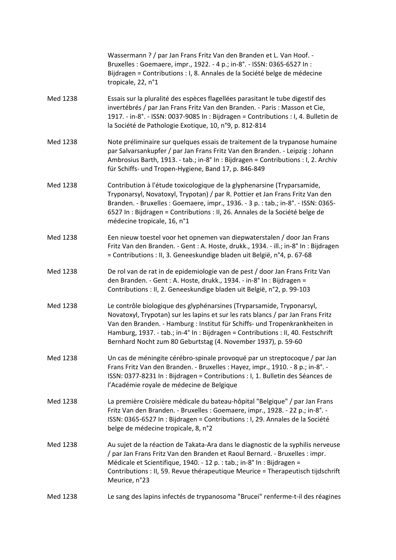|          | Wassermann ? / par Jan Frans Fritz Van den Branden et L. Van Hoof. -<br>Bruxelles : Goemaere, impr., 1922. - 4 p.; in-8°. - ISSN: 0365-6527 In :<br>Bijdragen = Contributions : I, 8. Annales de la Société belge de médecine<br>tropicale, 22, n°1                                                                                                                                            |
|----------|------------------------------------------------------------------------------------------------------------------------------------------------------------------------------------------------------------------------------------------------------------------------------------------------------------------------------------------------------------------------------------------------|
| Med 1238 | Essais sur la pluralité des espèces flagellées parasitant le tube digestif des<br>invertébrés / par Jan Frans Fritz Van den Branden. - Paris : Masson et Cie,<br>1917. - in-8°. - ISSN: 0037-9085 In: Bijdragen = Contributions: I, 4. Bulletin de<br>la Société de Pathologie Exotique, 10, n°9, p. 812-814                                                                                   |
| Med 1238 | Note préliminaire sur quelques essais de traitement de la trypanose humaine<br>par Salvarsankupfer / par Jan Frans Fritz Van den Branden. - Leipzig : Johann<br>Ambrosius Barth, 1913. - tab.; in-8° In : Bijdragen = Contributions : I, 2. Archiv<br>für Schiffs- und Tropen-Hygiene, Band 17, p. 846-849                                                                                     |
| Med 1238 | Contribution à l'étude toxicologique de la glyphenarsine (Tryparsamide,<br>Tryponarsyl, Novatoxyl, Trypotan) / par R. Pottier et Jan Frans Fritz Van den<br>Branden. - Bruxelles : Goemaere, impr., 1936. - 3 p. : tab.; in-8°. - ISSN: 0365-<br>6527 In : Bijdragen = Contributions : II, 26. Annales de la Société belge de<br>médecine tropicale, 16, n°1                                   |
| Med 1238 | Een nieuw toestel voor het opnemen van diepwaterstalen / door Jan Frans<br>Fritz Van den Branden. - Gent : A. Hoste, drukk., 1934. - ill.; in-8° In : Bijdragen<br>= Contributions : II, 3. Geneeskundige bladen uit België, n°4, p. 67-68                                                                                                                                                     |
| Med 1238 | De rol van de rat in de epidemiologie van de pest / door Jan Frans Fritz Van<br>den Branden. - Gent : A. Hoste, drukk., 1934. - in-8° In : Bijdragen =<br>Contributions : II, 2. Geneeskundige bladen uit België, n°2, p. 99-103                                                                                                                                                               |
| Med 1238 | Le contrôle biologique des glyphénarsines (Tryparsamide, Tryponarsyl,<br>Novatoxyl, Trypotan) sur les lapins et sur les rats blancs / par Jan Frans Fritz<br>Van den Branden. - Hamburg : Institut für Schiffs- und Tropenkrankheiten in<br>Hamburg, 1937. - tab.; in-4° In : Bijdragen = Contributions : II, 40. Festschrift<br>Bernhard Nocht zum 80 Geburtstag (4. November 1937), p. 59-60 |
| Med 1238 | Un cas de méningite cérébro-spinale provoqué par un streptocoque / par Jan<br>Frans Fritz Van den Branden. - Bruxelles : Hayez, impr., 1910. - 8 p.; in-8°. -<br>ISSN: 0377-8231 In: Bijdragen = Contributions : I, 1. Bulletin des Séances de<br>l'Académie royale de médecine de Belgique                                                                                                    |
| Med 1238 | La première Croisière médicale du bateau-hôpital "Belgique" / par Jan Frans<br>Fritz Van den Branden. - Bruxelles : Goemaere, impr., 1928. - 22 p.; in-8°. -<br>ISSN: 0365-6527 In : Bijdragen = Contributions : I, 29. Annales de la Société<br>belge de médecine tropicale, 8, n°2                                                                                                           |
| Med 1238 | Au sujet de la réaction de Takata-Ara dans le diagnostic de la syphilis nerveuse<br>/ par Jan Frans Fritz Van den Branden et Raoul Bernard. - Bruxelles : impr.<br>Médicale et Scientifique, 1940. - 12 p. : tab.; in-8° In : Bijdragen =<br>Contributions : II, 59. Revue thérapeutique Meurice = Therapeutisch tijdschrift<br>Meurice, n°23                                                  |
| Med 1238 | Le sang des lapins infectés de trypanosoma "Brucei" renferme-t-il des réagines                                                                                                                                                                                                                                                                                                                 |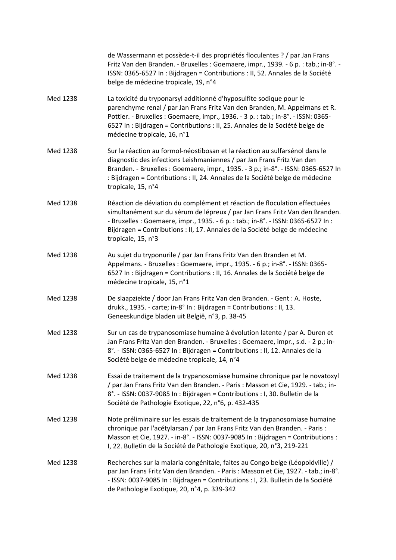|          | de Wassermann et possède-t-il des propriétés floculentes ? / par Jan Frans<br>Fritz Van den Branden. - Bruxelles : Goemaere, impr., 1939. - 6 p. : tab.; in-8°. -<br>ISSN: 0365-6527 In : Bijdragen = Contributions : II, 52. Annales de la Société<br>belge de médecine tropicale, 19, n°4                                                           |
|----------|-------------------------------------------------------------------------------------------------------------------------------------------------------------------------------------------------------------------------------------------------------------------------------------------------------------------------------------------------------|
| Med 1238 | La toxicité du tryponarsyl additionné d'hyposulfite sodique pour le<br>parenchyme renal / par Jan Frans Fritz Van den Branden, M. Appelmans et R.<br>Pottier. - Bruxelles : Goemaere, impr., 1936. - 3 p. : tab.; in-8°. - ISSN: 0365-<br>6527 In : Bijdragen = Contributions : II, 25. Annales de la Société belge de<br>médecine tropicale, 16, n°1 |
| Med 1238 | Sur la réaction au formol-néostibosan et la réaction au sulfarsénol dans le<br>diagnostic des infections Leishmaniennes / par Jan Frans Fritz Van den<br>Branden. - Bruxelles : Goemaere, impr., 1935. - 3 p.; in-8°. - ISSN: 0365-6527 In<br>: Bijdragen = Contributions : II, 24. Annales de la Société belge de médecine<br>tropicale, 15, n°4     |
| Med 1238 | Réaction de déviation du complément et réaction de floculation effectuées<br>simultanément sur du sérum de lépreux / par Jan Frans Fritz Van den Branden.<br>- Bruxelles : Goemaere, impr., 1935. - 6 p. : tab.; in-8°. - ISSN: 0365-6527 In :<br>Bijdragen = Contributions : II, 17. Annales de la Société belge de médecine<br>tropicale, 15, n°3   |
| Med 1238 | Au sujet du tryponurile / par Jan Frans Fritz Van den Branden et M.<br>Appelmans. - Bruxelles : Goemaere, impr., 1935. - 6 p.; in-8°. - ISSN: 0365-<br>6527 In : Bijdragen = Contributions : II, 16. Annales de la Société belge de<br>médecine tropicale, 15, n°1                                                                                    |
| Med 1238 | De slaapziekte / door Jan Frans Fritz Van den Branden. - Gent : A. Hoste,<br>drukk., 1935. - carte; in-8° In : Bijdragen = Contributions : II, 13.<br>Geneeskundige bladen uit België, n°3, p. 38-45                                                                                                                                                  |
| Med 1238 | Sur un cas de trypanosomiase humaine à évolution latente / par A. Duren et<br>Jan Frans Fritz Van den Branden. - Bruxelles : Goemaere, impr., s.d. - 2 p.; in-<br>8°. - ISSN: 0365-6527 In: Bijdragen = Contributions: II, 12. Annales de la<br>Société belge de médecine tropicale, 14, n°4                                                          |
| Med 1238 | Essai de traitement de la trypanosomiase humaine chronique par le novatoxyl<br>/ par Jan Frans Fritz Van den Branden. - Paris: Masson et Cie, 1929. - tab.; in-<br>8°. - ISSN: 0037-9085 In: Bijdragen = Contributions: I, 30. Bulletin de la<br>Société de Pathologie Exotique, 22, n°6, p. 432-435                                                  |
| Med 1238 | Note préliminaire sur les essais de traitement de la trypanosomiase humaine<br>chronique par l'acétylarsan / par Jan Frans Fritz Van den Branden. - Paris :<br>Masson et Cie, 1927. - in-8°. - ISSN: 0037-9085 In: Bijdragen = Contributions:<br>I, 22. Bulletin de la Société de Pathologie Exotique, 20, n°3, 219-221                               |
| Med 1238 | Recherches sur la malaria congénitale, faites au Congo belge (Léopoldville) /<br>par Jan Frans Fritz Van den Branden. - Paris : Masson et Cie, 1927. - tab.; in-8°.<br>- ISSN: 0037-9085 In : Bijdragen = Contributions : I, 23. Bulletin de la Société<br>de Pathologie Exotique, 20, n°4, p. 339-342                                                |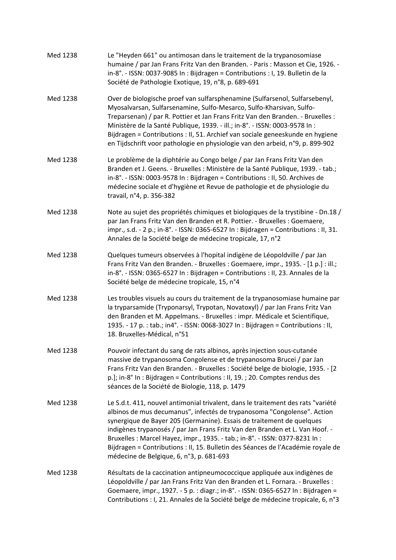| Med 1238 | Le "Heyden 661" ou antimosan dans le traitement de la trypanosomiase<br>humaine / par Jan Frans Fritz Van den Branden. - Paris: Masson et Cie, 1926. -<br>in-8°. - ISSN: 0037-9085 In: Bijdragen = Contributions: I, 19. Bulletin de la<br>Société de Pathologie Exotique, 19, n°8, p. 689-691                                                                                                                                                                                                                                       |
|----------|--------------------------------------------------------------------------------------------------------------------------------------------------------------------------------------------------------------------------------------------------------------------------------------------------------------------------------------------------------------------------------------------------------------------------------------------------------------------------------------------------------------------------------------|
| Med 1238 | Over de biologische proef van sulfarsphenamine (Sulfarsenol, Sulfarsebenyl,<br>Myosalvarsan, Sulfarsenamine, Sulfo-Mesarco, Sulfo-Kharsivan, Sulfo-<br>Treparsenan) / par R. Pottier et Jan Frans Fritz Van den Branden. - Bruxelles :<br>Ministère de la Santé Publique, 1939. - ill.; in-8°. - ISSN: 0003-9578 In :<br>Bijdragen = Contributions : II, 51. Archief van sociale geneeskunde en hygiene<br>en Tijdschrift voor pathologie en physiologie van den arbeid, n°9, p. 899-902                                             |
| Med 1238 | Le problème de la diphtérie au Congo belge / par Jan Frans Fritz Van den<br>Branden et J. Geens. - Bruxelles : Ministère de la Santé Publique, 1939. - tab.;<br>in-8°. - ISSN: 0003-9578 In: Bijdragen = Contributions: II, 50. Archives de<br>médecine sociale et d'hygiène et Revue de pathologie et de physiologie du<br>travail, n°4, p. 356-382                                                                                                                                                                                 |
| Med 1238 | Note au sujet des propriétés chimiques et biologiques de la trystibine - Dn.18 /<br>par Jan Frans Fritz Van den Branden et R. Pottier. - Bruxelles : Goemaere,<br>impr., s.d. - 2 p.; in-8°. - ISSN: 0365-6527 In : Bijdragen = Contributions : II, 31.<br>Annales de la Société belge de médecine tropicale, 17, n°2                                                                                                                                                                                                                |
| Med 1238 | Quelques tumeurs observées à l'hopital indigène de Léopoldville / par Jan<br>Frans Fritz Van den Branden. - Bruxelles : Goemaere, impr., 1935. - [1 p.] : ill.;<br>in-8°. - ISSN: 0365-6527 In: Bijdragen = Contributions: II, 23. Annales de la<br>Société belge de médecine tropicale, 15, n°4                                                                                                                                                                                                                                     |
| Med 1238 | Les troubles visuels au cours du traitement de la trypanosomiase humaine par<br>la tryparsamide (Tryponarsyl, Trypotan, Novatoxyl) / par Jan Frans Fritz Van<br>den Branden et M. Appelmans. - Bruxelles : impr. Médicale et Scientifique,<br>1935. - 17 p. : tab.; in4°. - ISSN: 0068-3027 In : Bijdragen = Contributions : II,<br>18. Bruxelles-Médical, n°51                                                                                                                                                                      |
| Med 1238 | Pouvoir infectant du sang de rats albinos, après injection sous-cutanée<br>massive de trypanosoma Congolense et de trypanosoma Brucei / par Jan<br>Frans Fritz Van den Branden. - Bruxelles : Société belge de biologie, 1935. - [2<br>p.]; in-8° In : Bijdragen = Contributions : II, 19. ; 20. Comptes rendus des<br>séances de la Société de Biologie, 118, p. 1479                                                                                                                                                               |
| Med 1238 | Le S.d.t. 411, nouvel antimonial trivalent, dans le traitement des rats "variété<br>albinos de mus decumanus", infectés de trypanosoma "Congolense". Action<br>synergique de Bayer 205 (Germanine). Essais de traitement de quelques<br>indigènes trypanosés / par Jan Frans Fritz Van den Branden et L. Van Hoof. -<br>Bruxelles : Marcel Hayez, impr., 1935. - tab.; in-8°. - ISSN: 0377-8231 In :<br>Bijdragen = Contributions : II, 15. Bulletin des Séances de l'Académie royale de<br>médecine de Belgique, 6, n°3, p. 681-693 |
| Med 1238 | Résultats de la caccination antipneumococcique appliquée aux indigènes de<br>Léopoldville / par Jan Frans Fritz Van den Branden et L. Fornara. - Bruxelles :<br>Goemaere, impr., 1927. - 5 p. : diagr.; in-8°. - ISSN: 0365-6527 In : Bijdragen =<br>Contributions : I, 21. Annales de la Société belge de médecine tropicale, 6, n°3                                                                                                                                                                                                |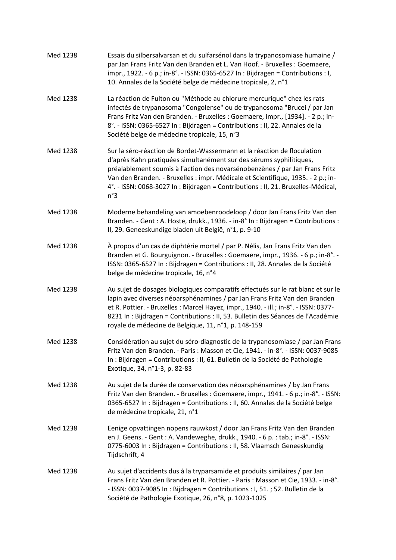| Med 1238 | Essais du silbersalvarsan et du sulfarsénol dans la trypanosomiase humaine /<br>par Jan Frans Fritz Van den Branden et L. Van Hoof. - Bruxelles : Goemaere,<br>impr., 1922. - 6 p.; in-8°. - ISSN: 0365-6527 In: Bijdragen = Contributions: I,<br>10. Annales de la Société belge de médecine tropicale, 2, n°1                                                                                                      |
|----------|----------------------------------------------------------------------------------------------------------------------------------------------------------------------------------------------------------------------------------------------------------------------------------------------------------------------------------------------------------------------------------------------------------------------|
| Med 1238 | La réaction de Fulton ou "Méthode au chlorure mercurique" chez les rats<br>infectés de trypanosoma "Congolense" ou de trypanosoma "Brucei / par Jan<br>Frans Fritz Van den Branden. - Bruxelles : Goemaere, impr., [1934]. - 2 p.; in-<br>8°. - ISSN: 0365-6527 In: Bijdragen = Contributions: II, 22. Annales de la<br>Société belge de médecine tropicale, 15, n°3                                                 |
| Med 1238 | Sur la séro-réaction de Bordet-Wassermann et la réaction de floculation<br>d'après Kahn pratiquées simultanément sur des sérums syphilitiques,<br>préalablement soumis à l'action des novarsénobenzènes / par Jan Frans Fritz<br>Van den Branden. - Bruxelles : impr. Médicale et Scientifique, 1935. - 2 p.; in-<br>4°. - ISSN: 0068-3027 In: Bijdragen = Contributions: II, 21. Bruxelles-Médical,<br>$n^{\circ}3$ |
| Med 1238 | Moderne behandeling van amoebenroodeloop / door Jan Frans Fritz Van den<br>Branden. - Gent : A. Hoste, drukk., 1936. - in-8° In : Bijdragen = Contributions :<br>II, 29. Geneeskundige bladen uit België, n°1, p. 9-10                                                                                                                                                                                               |
| Med 1238 | À propos d'un cas de diphtérie mortel / par P. Nélis, Jan Frans Fritz Van den<br>Branden et G. Bourguignon. - Bruxelles : Goemaere, impr., 1936. - 6 p.; in-8°. -<br>ISSN: 0365-6527 In : Bijdragen = Contributions : II, 28. Annales de la Société<br>belge de médecine tropicale, 16, n°4                                                                                                                          |
| Med 1238 | Au sujet de dosages biologiques comparatifs effectués sur le rat blanc et sur le<br>lapin avec diverses néoarsphénamines / par Jan Frans Fritz Van den Branden<br>et R. Pottier. - Bruxelles : Marcel Hayez, impr., 1940. - ill.; in-8°. - ISSN: 0377-<br>8231 In : Bijdragen = Contributions : II, 53. Bulletin des Séances de l'Académie<br>royale de médecine de Belgique, 11, n°1, p. 148-159                    |
| Med 1238 | Considération au sujet du séro-diagnostic de la trypanosomiase / par Jan Frans<br>Fritz Van den Branden. - Paris: Masson et Cie, 1941. - in-8°. - ISSN: 0037-9085<br>In : Bijdragen = Contributions : II, 61. Bulletin de la Société de Pathologie<br>Exotique, 34, n°1-3, p. 82-83                                                                                                                                  |
| Med 1238 | Au sujet de la durée de conservation des néoarsphénamines / by Jan Frans<br>Fritz Van den Branden. - Bruxelles : Goemaere, impr., 1941. - 6 p.; in-8°. - ISSN:<br>0365-6527 In : Bijdragen = Contributions : II, 60. Annales de la Société belge<br>de médecine tropicale, 21, n°1                                                                                                                                   |
| Med 1238 | Eenige opvattingen nopens rauwkost / door Jan Frans Fritz Van den Branden<br>en J. Geens. - Gent : A. Vandeweghe, drukk., 1940. - 6 p. : tab.; in-8°. - ISSN:<br>0775-6003 In: Bijdragen = Contributions: II, 58. Vlaamsch Geneeskundig<br>Tijdschrift, 4                                                                                                                                                            |
| Med 1238 | Au sujet d'accidents dus à la tryparsamide et produits similaires / par Jan<br>Frans Fritz Van den Branden et R. Pottier. - Paris : Masson et Cie, 1933. - in-8°.<br>- ISSN: 0037-9085 In : Bijdragen = Contributions : I, 51. ; 52. Bulletin de la<br>Société de Pathologie Exotique, 26, n°8, p. 1023-1025                                                                                                         |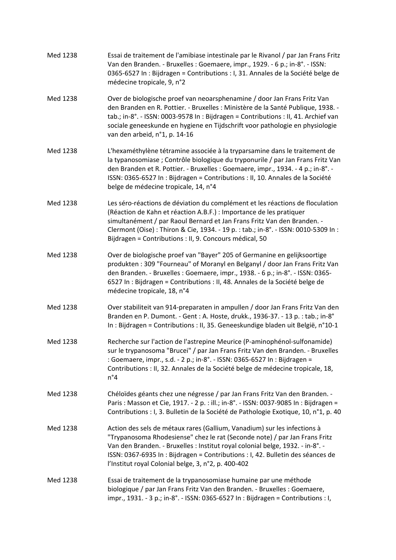| Med 1238 | Essai de traitement de l'amibiase intestinale par le Rivanol / par Jan Frans Fritz<br>Van den Branden. - Bruxelles : Goemaere, impr., 1929. - 6 p.; in-8°. - ISSN:<br>0365-6527 In : Bijdragen = Contributions : I, 31. Annales de la Société belge de<br>médecine tropicale, 9, n°2                                                                                               |
|----------|------------------------------------------------------------------------------------------------------------------------------------------------------------------------------------------------------------------------------------------------------------------------------------------------------------------------------------------------------------------------------------|
| Med 1238 | Over de biologische proef van neoarsphenamine / door Jan Frans Fritz Van<br>den Branden en R. Pottier. - Bruxelles : Ministère de la Santé Publique, 1938. -<br>tab.; in-8°. - ISSN: 0003-9578 In: Bijdragen = Contributions: II, 41. Archief van<br>sociale geneeskunde en hygiene en Tijdschrift voor pathologie en physiologie<br>van den arbeid, n°1, p. 14-16                 |
| Med 1238 | L'hexaméthylène tétramine associée à la tryparsamine dans le traitement de<br>la typanosomiase ; Contrôle biologique du tryponurile / par Jan Frans Fritz Van<br>den Branden et R. Pottier. - Bruxelles : Goemaere, impr., 1934. - 4 p.; in-8°. -<br>ISSN: 0365-6527 In : Bijdragen = Contributions : II, 10. Annales de la Société<br>belge de médecine tropicale, 14, n°4        |
| Med 1238 | Les séro-réactions de déviation du complément et les réactions de floculation<br>(Réaction de Kahn et réaction A.B.F.) : Importance de les pratiquer<br>simultanément / par Raoul Bernard et Jan Frans Fritz Van den Branden. -<br>Clermont (Oise) : Thiron & Cie, 1934. - 19 p. : tab.; in-8°. - ISSN: 0010-5309 In :<br>Bijdragen = Contributions : II, 9. Concours médical, 50  |
| Med 1238 | Over de biologische proef van "Bayer" 205 of Germanine en gelijksoortige<br>produkten: 309 "Fourneau" of Moranyl en Belganyl / door Jan Frans Fritz Van<br>den Branden. - Bruxelles : Goemaere, impr., 1938. - 6 p.; in-8°. - ISSN: 0365-<br>6527 In : Bijdragen = Contributions : II, 48. Annales de la Société belge de<br>médecine tropicale, 18, n°4                           |
| Med 1238 | Over stabiliteit van 914-preparaten in ampullen / door Jan Frans Fritz Van den<br>Branden en P. Dumont. - Gent : A. Hoste, drukk., 1936-37. - 13 p. : tab.; in-8°<br>In : Bijdragen = Contributions : II, 35. Geneeskundige bladen uit België, n°10-1                                                                                                                              |
| Med 1238 | Recherche sur l'action de l'astrepine Meurice (P-aminophénol-sulfonamide)<br>sur le trypanosoma "Brucei" / par Jan Frans Fritz Van den Branden. - Bruxelles<br>: Goemaere, impr., s.d. - 2 p.; in-8°. - ISSN: 0365-6527 In : Bijdragen =<br>Contributions : II, 32. Annales de la Société belge de médecine tropicale, 18,<br>$n^{\circ}4$                                         |
| Med 1238 | Chéloïdes géants chez une négresse / par Jan Frans Fritz Van den Branden. -<br>Paris: Masson et Cie, 1917. - 2 p. : ill.; in-8°. - ISSN: 0037-9085 In : Bijdragen =<br>Contributions : I, 3. Bulletin de la Société de Pathologie Exotique, 10, n°1, p. 40                                                                                                                         |
| Med 1238 | Action des sels de métaux rares (Gallium, Vanadium) sur les infections à<br>"Trypanosoma Rhodesiense" chez le rat (Seconde note) / par Jan Frans Fritz<br>Van den Branden. - Bruxelles : Institut royal colonial belge, 1932. - in-8°. -<br>ISSN: 0367-6935 In : Bijdragen = Contributions : I, 42. Bulletin des séances de<br>l'Institut royal Colonial belge, 3, n°2, p. 400-402 |
| Med 1238 | Essai de traitement de la trypanosomiase humaine par une méthode<br>biologique / par Jan Frans Fritz Van den Branden. - Bruxelles : Goemaere,<br>impr., 1931. - 3 p.; in-8°. - ISSN: 0365-6527 In: Bijdragen = Contributions: I,                                                                                                                                                   |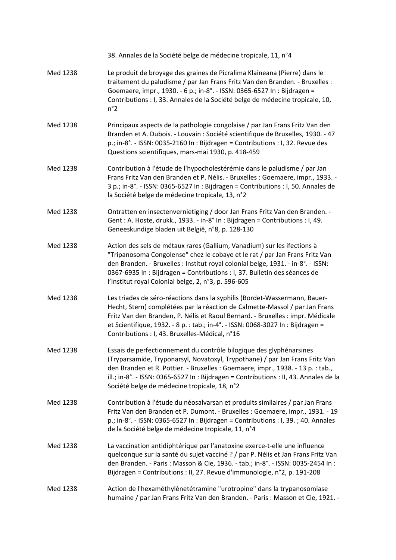|          | 38. Annales de la Société belge de médecine tropicale, 11, n°4                                                                                                                                                                                                                                                                                                                  |
|----------|---------------------------------------------------------------------------------------------------------------------------------------------------------------------------------------------------------------------------------------------------------------------------------------------------------------------------------------------------------------------------------|
| Med 1238 | Le produit de broyage des graines de Picralima Klaineana (Pierre) dans le<br>traitement du paludisme / par Jan Frans Fritz Van den Branden. - Bruxelles :<br>Goemaere, impr., 1930. - 6 p.; in-8°. - ISSN: 0365-6527 In: Bijdragen =<br>Contributions : I, 33. Annales de la Société belge de médecine tropicale, 10,<br>$n^{\circ}2$                                           |
| Med 1238 | Principaux aspects de la pathologie congolaise / par Jan Frans Fritz Van den<br>Branden et A. Dubois. - Louvain : Société scientifique de Bruxelles, 1930. - 47<br>p.; in-8°. - ISSN: 0035-2160 In: Bijdragen = Contributions: I, 32. Revue des<br>Questions scientifiques, mars-mai 1930, p. 418-459                                                                           |
| Med 1238 | Contribution à l'étude de l'hypocholestérémie dans le paludisme / par Jan<br>Frans Fritz Van den Branden et P. Nélis. - Bruxelles : Goemaere, impr., 1933. -<br>3 p.; in-8°. - ISSN: 0365-6527 In : Bijdragen = Contributions : I, 50. Annales de<br>la Société belge de médecine tropicale, 13, n°2                                                                            |
| Med 1238 | Ontratten en insectenvernietiging / door Jan Frans Fritz Van den Branden. -<br>Gent: A. Hoste, drukk., 1933. - in-8° In: Bijdragen = Contributions: I, 49.<br>Geneeskundige bladen uit België, n°8, p. 128-130                                                                                                                                                                  |
| Med 1238 | Action des sels de métaux rares (Gallium, Vanadium) sur les ifections à<br>"Tripanosoma Congolense" chez le cobaye et le rat / par Jan Frans Fritz Van<br>den Branden. - Bruxelles : Institut royal colonial belge, 1931. - in-8°. - ISSN:<br>0367-6935 In : Bijdragen = Contributions : I, 37. Bulletin des séances de<br>l'Institut royal Colonial belge, 2, n°3, p. 596-605  |
| Med 1238 | Les triades de séro-réactions dans la syphilis (Bordet-Wassermann, Bauer-<br>Hecht, Stern) complétées par la réaction de Calmette-Massol / par Jan Frans<br>Fritz Van den Branden, P. Nélis et Raoul Bernard. - Bruxelles : impr. Médicale<br>et Scientifique, 1932. - 8 p. : tab.; in-4°. - ISSN: 0068-3027 In : Bijdragen =<br>Contributions : I, 43. Bruxelles-Médical, n°16 |
| Med 1238 | Essais de perfectionnement du contrôle bilogique des glyphénarsines<br>(Tryparsamide, Tryponarsyl, Novatoxyl, Trypothane) / par Jan Frans Fritz Van<br>den Branden et R. Pottier. - Bruxelles : Goemaere, impr., 1938. - 13 p. : tab.,<br>ill.; in-8°. - ISSN: 0365-6527 In: Bijdragen = Contributions: II, 43. Annales de la<br>Société belge de médecine tropicale, 18, n°2   |
| Med 1238 | Contribution à l'étude du néosalvarsan et produits similaires / par Jan Frans<br>Fritz Van den Branden et P. Dumont. - Bruxelles : Goemaere, impr., 1931. - 19<br>p.; in-8°. - ISSN: 0365-6527 In: Bijdragen = Contributions: I, 39.; 40. Annales<br>de la Société belge de médecine tropicale, 11, n°4                                                                         |
| Med 1238 | La vaccination antidiphtérique par l'anatoxine exerce-t-elle une influence<br>quelconque sur la santé du sujet vacciné ? / par P. Nélis et Jan Frans Fritz Van<br>den Branden. - Paris: Masson & Cie, 1936. - tab.; in-8°. - ISSN: 0035-2454 In:<br>Bijdragen = Contributions : II, 27. Revue d'immunologie, n°2, p. 191-208                                                    |
| Med 1238 | Action de l'hexaméthylènetétramine "urotropine" dans la trypanosomiase<br>humaine / par Jan Frans Fritz Van den Branden. - Paris: Masson et Cie, 1921. -                                                                                                                                                                                                                        |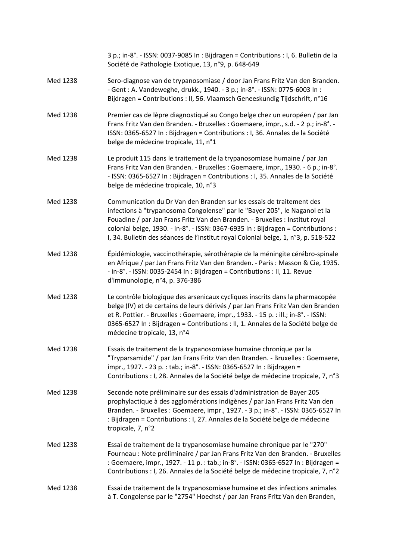3 p.; in‐8°. ‐ ISSN: 0037‐9085 In : Bijdragen = Contributions : I, 6. Bulletin de la Société de Pathologie Exotique, 13, n°9, p. 648‐649

- Med 1238 Sero‐diagnose van de trypanosomiase / door Jan Frans Fritz Van den Branden. ‐ Gent : A. Vandeweghe, drukk., 1940. ‐ 3 p.; in‐8°. ‐ ISSN: 0775‐6003 In : Bijdragen = Contributions : II, 56. Vlaamsch Geneeskundig Tijdschrift, n°16
- Med 1238 Premier cas de lèpre diagnostiqué au Congo belge chez un européen / par Jan Frans Fritz Van den Branden. ‐ Bruxelles : Goemaere, impr., s.d. ‐ 2 p.; in‐8°. ‐ ISSN: 0365‐6527 In : Bijdragen = Contributions : I, 36. Annales de la Société belge de médecine tropicale, 11, n°1
- Med 1238 Le produit 115 dans le traitement de la trypanosomiase humaine / par Jan Frans Fritz Van den Branden. ‐ Bruxelles : Goemaere, impr., 1930. ‐ 6 p.; in‐8°. ‐ ISSN: 0365‐6527 In : Bijdragen = Contributions : I, 35. Annales de la Société belge de médecine tropicale, 10, n°3
- Med 1238 Communication du Dr Van den Branden sur les essais de traitement des infections à "trypanosoma Congolense" par le "Bayer 205", le Naganol et la Fouadine / par Jan Frans Fritz Van den Branden. ‐ Bruxelles : Institut royal colonial belge, 1930. ‐ in‐8°. ‐ ISSN: 0367‐6935 In : Bijdragen = Contributions : I, 34. Bulletin des séances de l'Institut royal Colonial belge, 1, n°3, p. 518‐522
- Med 1238 Épidémiologie, vaccinothérapie, sérothérapie de la méningite cérébro‐spinale en Afrique / par Jan Frans Fritz Van den Branden. ‐ Paris : Masson & Cie, 1935. ‐ in‐8°. ‐ ISSN: 0035‐2454 In : Bijdragen = Contributions : II, 11. Revue d'immunologie, n°4, p. 376‐386
- Med 1238 Le contrôle biologique des arsenicaux cycliques inscrits dans la pharmacopée belge (IV) et de certains de leurs dérivés / par Jan Frans Fritz Van den Branden et R. Pottier. ‐ Bruxelles : Goemaere, impr., 1933. ‐ 15 p. : ill.; in‐8°. ‐ ISSN: 0365‐6527 In : Bijdragen = Contributions : II, 1. Annales de la Société belge de médecine tropicale, 13, n°4
- Med 1238 Essais de traitement de la trypanosomiase humaine chronique par la "Tryparsamide" / par Jan Frans Fritz Van den Branden. ‐ Bruxelles : Goemaere, impr., 1927. ‐ 23 p. : tab.; in‐8°. ‐ ISSN: 0365‐6527 In : Bijdragen = Contributions : I, 28. Annales de la Société belge de médecine tropicale, 7, n°3
- Med 1238 Seconde note préliminaire sur des essais d'administration de Bayer 205 prophylactique à des agglomérations indigènes / par Jan Frans Fritz Van den Branden. ‐ Bruxelles : Goemaere, impr., 1927. ‐ 3 p.; in‐8°. ‐ ISSN: 0365‐6527 In : Bijdragen = Contributions : I, 27. Annales de la Société belge de médecine tropicale, 7, n°2
- Med 1238 Essai de traitement de la trypanosomiase humaine chronique par le "270" Fourneau : Note préliminaire / par Jan Frans Fritz Van den Branden. ‐ Bruxelles : Goemaere, impr., 1927. ‐ 11 p. : tab.; in‐8°. ‐ ISSN: 0365‐6527 In : Bijdragen = Contributions : I, 26. Annales de la Société belge de médecine tropicale, 7, n°2

#### Med 1238 Essai de traitement de la trypanosomiase humaine et des infections animales à T. Congolense par le "2754" Hoechst / par Jan Frans Fritz Van den Branden,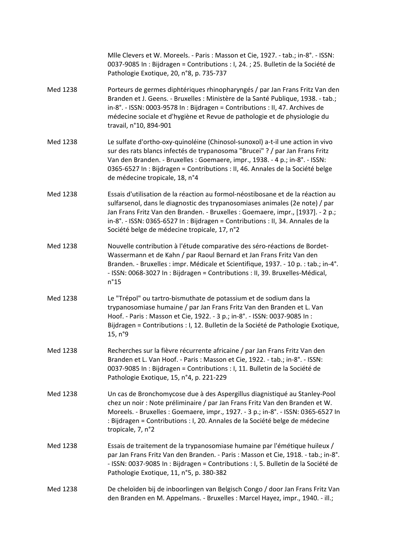Mlle Clevers et W. Moreels. ‐ Paris : Masson et Cie, 1927. ‐ tab.; in‐8°. ‐ ISSN: 0037‐9085 In : Bijdragen = Contributions : I, 24. ; 25. Bulletin de la Société de Pathologie Exotique, 20, n°8, p. 735‐737 Med 1238 Porteurs de germes diphtériques rhinopharyngés / par Jan Frans Fritz Van den Branden et J. Geens. ‐ Bruxelles : Ministère de la Santé Publique, 1938. ‐ tab.; in‐8°. ‐ ISSN: 0003‐9578 In : Bijdragen = Contributions : II, 47. Archives de médecine sociale et d'hygiène et Revue de pathologie et de physiologie du travail, n°10, 894‐901 Med 1238 Le sulfate d'ortho‐oxy‐quinoléine (Chinosol‐sunoxol) a‐t‐il une action in vivo sur des rats blancs infectés de trypanosoma "Brucei" ? / par Jan Frans Fritz Van den Branden. ‐ Bruxelles : Goemaere, impr., 1938. ‐ 4 p.; in‐8°. ‐ ISSN: 0365‐6527 In : Bijdragen = Contributions : II, 46. Annales de la Société belge de médecine tropicale, 18, n°4 Med 1238 Essais d'utilisation de la réaction au formol‐néostibosane et de la réaction au sulfarsenol, dans le diagnostic des trypanosomiases animales (2e note) / par Jan Frans Fritz Van den Branden. ‐ Bruxelles : Goemaere, impr., [1937]. ‐ 2 p.; in‐8°. ‐ ISSN: 0365‐6527 In : Bijdragen = Contributions : II, 34. Annales de la Société belge de médecine tropicale, 17, n°2 Med 1238 Nouvelle contribution à l'étude comparative des séro-réactions de Bordet-Wassermann et de Kahn / par Raoul Bernard et Jan Frans Fritz Van den Branden. ‐ Bruxelles : impr. Médicale et Scientifique, 1937. ‐ 10 p. : tab.; in‐4°. ‐ ISSN: 0068‐3027 In : Bijdragen = Contributions : II, 39. Bruxelles‐Médical, n°15 Med 1238 Le "Trépol" ou tartro‐bismuthate de potassium et de sodium dans la trypanosomiase humaine / par Jan Frans Fritz Van den Branden et L. Van Hoof. ‐ Paris : Masson et Cie, 1922. ‐ 3 p.; in‐8°. ‐ ISSN: 0037‐9085 In : Bijdragen = Contributions : I, 12. Bulletin de la Société de Pathologie Exotique, 15, n°9 Med 1238 Recherches sur la fièvre récurrente africaine / par Jan Frans Fritz Van den Branden et L. Van Hoof. ‐ Paris : Masson et Cie, 1922. ‐ tab.; in‐8°. ‐ ISSN: 0037‐9085 In : Bijdragen = Contributions : I, 11. Bulletin de la Société de Pathologie Exotique, 15, n°4, p. 221‐229 Med 1238 Un cas de Bronchomycose due à des Aspergillus diagnistiqué au Stanley‐Pool chez un noir : Note préliminaire / par Jan Frans Fritz Van den Branden et W. Moreels. ‐ Bruxelles : Goemaere, impr., 1927. ‐ 3 p.; in‐8°. ‐ ISSN: 0365‐6527 In : Bijdragen = Contributions : I, 20. Annales de la Société belge de médecine tropicale, 7, n°2 Med 1238 Essais de traitement de la trypanosomiase humaine par l'émétique huileux / par Jan Frans Fritz Van den Branden. ‐ Paris : Masson et Cie, 1918. ‐ tab.; in‐8°. ‐ ISSN: 0037‐9085 In : Bijdragen = Contributions : I, 5. Bulletin de la Société de Pathologie Exotique, 11, n°5, p. 380‐382 Med 1238 De cheloïden bij de inboorlingen van Belgisch Congo / door Jan Frans Fritz Van den Branden en M. Appelmans. ‐ Bruxelles : Marcel Hayez, impr., 1940. ‐ ill.;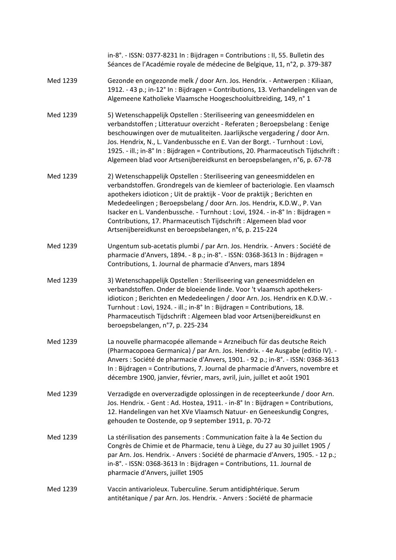|          | in-8°. - ISSN: 0377-8231 In: Bijdragen = Contributions: II, 55. Bulletin des<br>Séances de l'Académie royale de médecine de Belgique, 11, n°2, p. 379-387                                                                                                                                                                                                                                                                                                                                                                |
|----------|--------------------------------------------------------------------------------------------------------------------------------------------------------------------------------------------------------------------------------------------------------------------------------------------------------------------------------------------------------------------------------------------------------------------------------------------------------------------------------------------------------------------------|
| Med 1239 | Gezonde en ongezonde melk / door Arn. Jos. Hendrix. - Antwerpen : Kiliaan,<br>1912. - 43 p.; in-12° In : Bijdragen = Contributions, 13. Verhandelingen van de<br>Algemeene Katholieke Vlaamsche Hoogeschooluitbreiding, 149, n° 1                                                                                                                                                                                                                                                                                        |
| Med 1239 | 5) Wetenschappelijk Opstellen : Steriliseering van geneesmiddelen en<br>verbandstoffen; Litteratuur overzicht - Referaten; Beroepsbelang: Eenige<br>beschouwingen over de mutualiteiten. Jaarlijksche vergadering / door Arn.<br>Jos. Hendrix, N., L. Vandenbussche en E. Van der Borgt. - Turnhout : Lovi,<br>1925. - ill.; in-8° In: Bijdragen = Contributions, 20. Pharmaceutisch Tijdschrift:<br>Algemeen blad voor Artsenijbereidkunst en beroepsbelangen, n°6, p. 67-78                                            |
| Med 1239 | 2) Wetenschappelijk Opstellen : Steriliseering van geneesmiddelen en<br>verbandstoffen. Grondregels van de kiemleer of bacteriologie. Een vlaamsch<br>apothekers idioticon; Uit de praktijk - Voor de praktijk; Berichten en<br>Mededeelingen; Beroepsbelang / door Arn. Jos. Hendrix, K.D.W., P. Van<br>Isacker en L. Vandenbussche. - Turnhout : Lovi, 1924. - in-8° In : Bijdragen =<br>Contributions, 17. Pharmaceutisch Tijdschrift : Algemeen blad voor<br>Artsenijbereidkunst en beroepsbelangen, n°6, p. 215-224 |
| Med 1239 | Ungentum sub-acetatis plumbi / par Arn. Jos. Hendrix. - Anvers : Société de<br>pharmacie d'Anvers, 1894. - 8 p.; in-8°. - ISSN: 0368-3613 In : Bijdragen =<br>Contributions, 1. Journal de pharmacie d'Anvers, mars 1894                                                                                                                                                                                                                                                                                                 |
| Med 1239 | 3) Wetenschappelijk Opstellen : Steriliseering van geneesmiddelen en<br>verbandstoffen. Onder de bloeiende linde. Voor 't vlaamsch apothekers-<br>idioticon ; Berichten en Mededeelingen / door Arn. Jos. Hendrix en K.D.W. -<br>Turnhout : Lovi, 1924. - ill.; in-8° In : Bijdragen = Contributions, 18.<br>Pharmaceutisch Tijdschrift : Algemeen blad voor Artsenijbereidkunst en<br>beroepsbelangen, n°7, p. 225-234                                                                                                  |
| Med 1239 | La nouvelle pharmacopée allemande = Arzneibuch für das deutsche Reich<br>(Pharmacopoea Germanica) / par Arn. Jos. Hendrix. - 4e Ausgabe (editio IV). -<br>Anvers : Société de pharmacie d'Anvers, 1901. - 92 p.; in-8°. - ISSN: 0368-3613<br>In : Bijdragen = Contributions, 7. Journal de pharmacie d'Anvers, novembre et<br>décembre 1900, janvier, février, mars, avril, juin, juillet et août 1901                                                                                                                   |
| Med 1239 | Verzadigde en oververzadigde oplossingen in de recepteerkunde / door Arn.<br>Jos. Hendrix. - Gent : Ad. Hostea, 1911. - in-8° In : Bijdragen = Contributions,<br>12. Handelingen van het XVe Vlaamsch Natuur- en Geneeskundig Congres,<br>gehouden te Oostende, op 9 september 1911, p. 70-72                                                                                                                                                                                                                            |
| Med 1239 | La stérilisation des pansements : Communication faite à la 4e Section du<br>Congrès de Chimie et de Pharmacie, tenu à Liège, du 27 au 30 juillet 1905 /<br>par Arn. Jos. Hendrix. - Anvers : Société de pharmacie d'Anvers, 1905. - 12 p.;<br>in-8°. - ISSN: 0368-3613 In: Bijdragen = Contributions, 11. Journal de<br>pharmacie d'Anvers, juillet 1905                                                                                                                                                                 |
| Med 1239 | Vaccin antivarioleux. Tuberculine. Serum antidiphtérique. Serum<br>antitétanique / par Arn. Jos. Hendrix. - Anvers : Société de pharmacie                                                                                                                                                                                                                                                                                                                                                                                |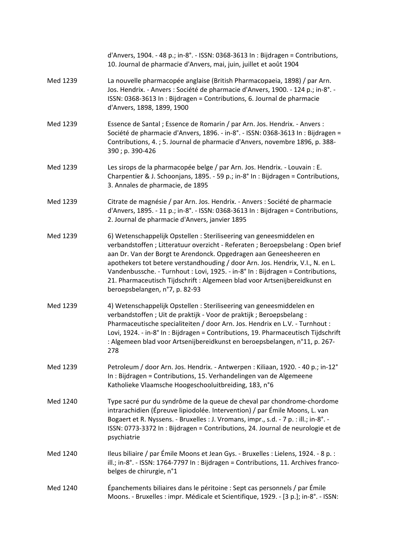|          | d'Anvers, 1904. - 48 p.; in-8°. - ISSN: 0368-3613 In : Bijdragen = Contributions,<br>10. Journal de pharmacie d'Anvers, mai, juin, juillet et août 1904                                                                                                                                                                                                                                                                                                                                                         |
|----------|-----------------------------------------------------------------------------------------------------------------------------------------------------------------------------------------------------------------------------------------------------------------------------------------------------------------------------------------------------------------------------------------------------------------------------------------------------------------------------------------------------------------|
| Med 1239 | La nouvelle pharmacopée anglaise (British Pharmacopaeia, 1898) / par Arn.<br>Jos. Hendrix. - Anvers : Société de pharmacie d'Anvers, 1900. - 124 p.; in-8°. -<br>ISSN: 0368-3613 In: Bijdragen = Contributions, 6. Journal de pharmacie<br>d'Anvers, 1898, 1899, 1900                                                                                                                                                                                                                                           |
| Med 1239 | Essence de Santal ; Essence de Romarin / par Arn. Jos. Hendrix. - Anvers :<br>Société de pharmacie d'Anvers, 1896. - in-8°. - ISSN: 0368-3613 In : Bijdragen =<br>Contributions, 4. ; 5. Journal de pharmacie d'Anvers, novembre 1896, p. 388-<br>390; p. 390-426                                                                                                                                                                                                                                               |
| Med 1239 | Les sirops de la pharmacopée belge / par Arn. Jos. Hendrix. - Louvain : E.<br>Charpentier & J. Schoonjans, 1895. - 59 p.; in-8° In : Bijdragen = Contributions,<br>3. Annales de pharmacie, de 1895                                                                                                                                                                                                                                                                                                             |
| Med 1239 | Citrate de magnésie / par Arn. Jos. Hendrix. - Anvers : Société de pharmacie<br>d'Anvers, 1895. - 11 p.; in-8°. - ISSN: 0368-3613 In : Bijdragen = Contributions,<br>2. Journal de pharmacie d'Anvers, janvier 1895                                                                                                                                                                                                                                                                                             |
| Med 1239 | 6) Wetenschappelijk Opstellen : Steriliseering van geneesmiddelen en<br>verbandstoffen; Litteratuur overzicht - Referaten; Beroepsbelang: Open brief<br>aan Dr. Van der Borgt te Arendonck. Opgedragen aan Geneesheeren en<br>apothekers tot betere verstandhouding / door Arn. Jos. Hendrix, V.I., N. en L.<br>Vandenbussche. - Turnhout : Lovi, 1925. - in-8° In : Bijdragen = Contributions,<br>21. Pharmaceutisch Tijdschrift : Algemeen blad voor Artsenijbereidkunst en<br>beroepsbelangen, n°7, p. 82-93 |
| Med 1239 | 4) Wetenschappelijk Opstellen : Steriliseering van geneesmiddelen en<br>verbandstoffen; Uit de praktijk - Voor de praktijk; Beroepsbelang:<br>Pharmaceutische specialiteiten / door Arn. Jos. Hendrix en L.V. - Turnhout :<br>Lovi, 1924. - in-8° In: Bijdragen = Contributions, 19. Pharmaceutisch Tijdschrift<br>: Algemeen blad voor Artsenijbereidkunst en beroepsbelangen, n°11, p. 267-<br>278                                                                                                            |
| Med 1239 | Petroleum / door Arn. Jos. Hendrix. - Antwerpen : Kiliaan, 1920. - 40 p.; in-12°<br>In: Bijdragen = Contributions, 15. Verhandelingen van de Algemeene<br>Katholieke Vlaamsche Hoogeschooluitbreiding, 183, n°6                                                                                                                                                                                                                                                                                                 |
| Med 1240 | Type sacré pur du syndrôme de la queue de cheval par chondrome-chordome<br>intrarachidien (Épreuve lipiodolée. Intervention) / par Émile Moons, L. van<br>Bogaert et R. Nyssens. - Bruxelles : J. Vromans, impr., s.d. - 7 p. : ill.; in-8°. -<br>ISSN: 0773-3372 In : Bijdragen = Contributions, 24. Journal de neurologie et de<br>psychiatrie                                                                                                                                                                |
| Med 1240 | Ileus biliaire / par Émile Moons et Jean Gys. - Bruxelles : Lielens, 1924. - 8 p. :<br>ill.; in-8°. - ISSN: 1764-7797 In: Bijdragen = Contributions, 11. Archives franco-<br>belges de chirurgie, n°1                                                                                                                                                                                                                                                                                                           |
| Med 1240 | Épanchements biliaires dans le péritoine : Sept cas personnels / par Émile<br>Moons. - Bruxelles : impr. Médicale et Scientifique, 1929. - [3 p.]; in-8°. - ISSN:                                                                                                                                                                                                                                                                                                                                               |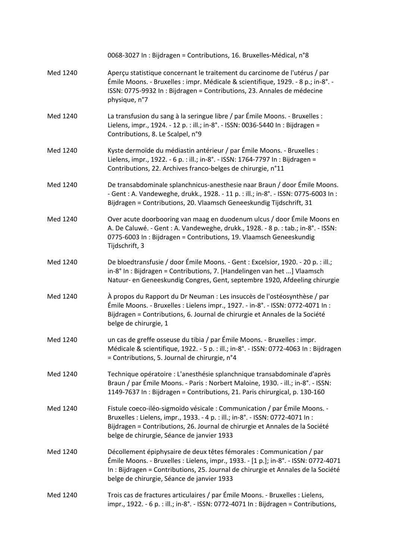|          | 0068-3027 In : Bijdragen = Contributions, 16. Bruxelles-Médical, n°8                                                                                                                                                                                                                            |
|----------|-------------------------------------------------------------------------------------------------------------------------------------------------------------------------------------------------------------------------------------------------------------------------------------------------|
| Med 1240 | Aperçu statistique concernant le traitement du carcinome de l'utérus / par<br>Émile Moons. - Bruxelles : impr. Médicale & scientifique, 1929. - 8 p.; in-8°. -<br>ISSN: 0775-9932 In : Bijdragen = Contributions, 23. Annales de médecine<br>physique, n°7                                      |
| Med 1240 | La transfusion du sang à la seringue libre / par Émile Moons. - Bruxelles :<br>Lielens, impr., 1924. - 12 p. : ill.; in-8°. - ISSN: 0036-5440 In : Bijdragen =<br>Contributions, 8. Le Scalpel, n°9                                                                                             |
| Med 1240 | Kyste dermoïde du médiastin antérieur / par Émile Moons. - Bruxelles :<br>Lielens, impr., 1922. - 6 p. : ill.; in-8°. - ISSN: 1764-7797 In : Bijdragen =<br>Contributions, 22. Archives franco-belges de chirurgie, n°11                                                                        |
| Med 1240 | De transabdominale splanchnicus-anesthesie naar Braun / door Émile Moons.<br>- Gent : A. Vandeweghe, drukk., 1928. - 11 p. : ill.; in-8°. - ISSN: 0775-6003 In :<br>Bijdragen = Contributions, 20. Vlaamsch Geneeskundig Tijdschrift, 31                                                        |
| Med 1240 | Over acute doorbooring van maag en duodenum ulcus / door Émile Moons en<br>A. De Caluwé. - Gent : A. Vandeweghe, drukk., 1928. - 8 p. : tab.; in-8°. - ISSN:<br>0775-6003 In: Bijdragen = Contributions, 19. Vlaamsch Geneeskundig<br>Tijdschrift, 3                                            |
| Med 1240 | De bloedtransfusie / door Émile Moons. - Gent : Excelsior, 1920. - 20 p. : ill.;<br>in-8° In: Bijdragen = Contributions, 7. [Handelingen van het ] Vlaamsch<br>Natuur- en Geneeskundig Congres, Gent, septembre 1920, Afdeeling chirurgie                                                       |
| Med 1240 | À propos du Rapport du Dr Neuman : Les insuccès de l'ostéosynthèse / par<br>Émile Moons. - Bruxelles : Lielens impr., 1927. - in-8°. - ISSN: 0772-4071 In :<br>Bijdragen = Contributions, 6. Journal de chirurgie et Annales de la Société<br>belge de chirurgie, 1                             |
| Med 1240 | un cas de greffe osseuse du tibia / par Émile Moons. - Bruxelles : impr.<br>Médicale & scientifique, 1922. - 5 p. : ill.; in-8°. - ISSN: 0772-4063 In : Bijdragen<br>= Contributions, 5. Journal de chirurgie, n°4                                                                              |
| Med 1240 | Technique opératoire : L'anesthésie splanchnique transabdominale d'après<br>Braun / par Émile Moons. - Paris: Norbert Maloine, 1930. - ill.; in-8°. - ISSN:<br>1149-7637 In: Bijdragen = Contributions, 21. Paris chirurgical, p. 130-160                                                       |
| Med 1240 | Fistule coeco-iléo-sigmoïdo vésicale : Communication / par Émile Moons. -<br>Bruxelles : Lielens, impr., 1933. - 4 p. : ill.; in-8°. - ISSN: 0772-4071 In :<br>Bijdragen = Contributions, 26. Journal de chirurgie et Annales de la Société<br>belge de chirurgie, Séance de janvier 1933       |
| Med 1240 | Décollement épiphysaire de deux têtes fémorales : Communication / par<br>Émile Moons. - Bruxelles : Lielens, impr., 1933. - [1 p.]; in-8°. - ISSN: 0772-4071<br>In : Bijdragen = Contributions, 25. Journal de chirurgie et Annales de la Société<br>belge de chirurgie, Séance de janvier 1933 |
| Med 1240 | Trois cas de fractures articulaires / par Émile Moons. - Bruxelles : Lielens,<br>impr., 1922. - 6 p. : ill.; in-8°. - ISSN: 0772-4071 In : Bijdragen = Contributions,                                                                                                                           |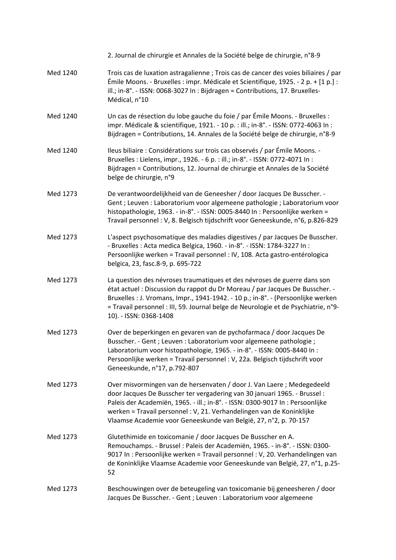|          | 2. Journal de chirurgie et Annales de la Société belge de chirurgie, n°8-9                                                                                                                                                                                                                                                                                                      |
|----------|---------------------------------------------------------------------------------------------------------------------------------------------------------------------------------------------------------------------------------------------------------------------------------------------------------------------------------------------------------------------------------|
| Med 1240 | Trois cas de luxation astragalienne ; Trois cas de cancer des voies biliaires / par<br>Émile Moons. - Bruxelles : impr. Médicale et Scientifique, 1925. - 2 p. + [1 p.] :<br>ill.; in-8°. - ISSN: 0068-3027 In: Bijdragen = Contributions, 17. Bruxelles-<br>Médical, n°10                                                                                                      |
| Med 1240 | Un cas de résection du lobe gauche du foie / par Émile Moons. - Bruxelles :<br>impr. Médicale & scientifique, 1921. - 10 p. : ill.; in-8°. - ISSN: 0772-4063 In :<br>Bijdragen = Contributions, 14. Annales de la Société belge de chirurgie, n°8-9                                                                                                                             |
| Med 1240 | Ileus biliaire : Considérations sur trois cas observés / par Émile Moons. -<br>Bruxelles : Lielens, impr., 1926. - 6 p. : ill.; in-8°. - ISSN: 0772-4071 In :<br>Bijdragen = Contributions, 12. Journal de chirurgie et Annales de la Société<br>belge de chirurgie, n°9                                                                                                        |
| Med 1273 | De verantwoordelijkheid van de Geneesher / door Jacques De Busscher. -<br>Gent ; Leuven : Laboratorium voor algemeene pathologie ; Laboratorium voor<br>histopathologie, 1963. - in-8°. - ISSN: 0005-8440 In: Persoonlijke werken =<br>Travail personnel : V, 8. Belgisch tijdschrift voor Geneeskunde, n°6, p.826-829                                                          |
| Med 1273 | L'aspect psychosomatique des maladies digestives / par Jacques De Busscher.<br>- Bruxelles : Acta medica Belgica, 1960. - in-8°. - ISSN: 1784-3227 In :<br>Persoonlijke werken = Travail personnel : IV, 108. Acta gastro-entérologica<br>belgica, 23, fasc.8-9, p. 695-722                                                                                                     |
| Med 1273 | La question des névroses traumatiques et des névroses de guerre dans son<br>état actuel : Discussion du rappot du Dr Moreau / par Jacques De Busscher. -<br>Bruxelles : J. Vromans, Impr., 1941-1942. - 10 p.; in-8°. - (Persoonlijke werken<br>= Travail personnel : III, 59. Journal belge de Neurologie et de Psychiatrie, n°9-<br>10). - ISSN: 0368-1408                    |
| Med 1273 | Over de beperkingen en gevaren van de pychofarmaca / door Jacques De<br>Busscher. - Gent ; Leuven : Laboratorium voor algemeene pathologie ;<br>Laboratorium voor histopathologie, 1965. - in-8°. - ISSN: 0005-8440 In:<br>Persoonlijke werken = Travail personnel : V, 22a. Belgisch tijdschrift voor<br>Geneeskunde, n°17, p.792-807                                          |
| Med 1273 | Over misvormingen van de hersenvaten / door J. Van Laere; Medegedeeld<br>door Jacques De Busscher ter vergadering van 30 januari 1965. - Brussel:<br>Paleis der Academiën, 1965. - ill.; in-8°. - ISSN: 0300-9017 In: Persoonlijke<br>werken = Travail personnel : V, 21. Verhandelingen van de Koninklijke<br>Vlaamse Academie voor Geneeskunde van België, 27, n°2, p. 70-157 |
| Med 1273 | Glutethimide en toxicomanie / door Jacques De Busscher en A.<br>Remouchamps. - Brussel : Paleis der Academiën, 1965. - in-8°. - ISSN: 0300-<br>9017 In: Persoonlijke werken = Travail personnel: V, 20. Verhandelingen van<br>de Koninklijke Vlaamse Academie voor Geneeskunde van België, 27, n°1, p.25-<br>52                                                                 |
| Med 1273 | Beschouwingen over de beteugeling van toxicomanie bij geneesheren / door<br>Jacques De Busscher. - Gent ; Leuven : Laboratorium voor algemeene                                                                                                                                                                                                                                  |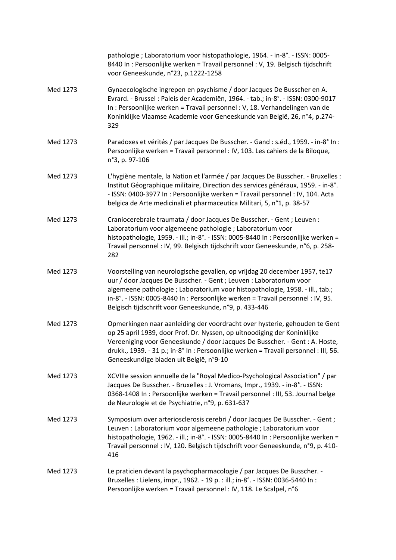|          | pathologie ; Laboratorium voor histopathologie, 1964. - in-8°. - ISSN: 0005-<br>8440 In: Persoonlijke werken = Travail personnel: V, 19. Belgisch tijdschrift<br>voor Geneeskunde, n°23, p.1222-1258                                                                                                                                                                          |
|----------|-------------------------------------------------------------------------------------------------------------------------------------------------------------------------------------------------------------------------------------------------------------------------------------------------------------------------------------------------------------------------------|
| Med 1273 | Gynaecologische ingrepen en psychisme / door Jacques De Busscher en A.<br>Evrard. - Brussel : Paleis der Academiën, 1964. - tab.; in-8°. - ISSN: 0300-9017<br>In : Persoonlijke werken = Travail personnel : V, 18. Verhandelingen van de<br>Koninklijke Vlaamse Academie voor Geneeskunde van België, 26, n°4, p.274-<br>329                                                 |
| Med 1273 | Paradoxes et vérités / par Jacques De Busscher. - Gand : s.éd., 1959. - in-8° In :<br>Persoonlijke werken = Travail personnel : IV, 103. Les cahiers de la Biloque,<br>n°3, p. 97-106                                                                                                                                                                                         |
| Med 1273 | L'hygiène mentale, la Nation et l'armée / par Jacques De Busscher. - Bruxelles :<br>Institut Géographique militaire, Direction des services généraux, 1959. - in-8°.<br>- ISSN: 0400-3977 In : Persoonlijke werken = Travail personnel : IV, 104. Acta<br>belgica de Arte medicinali et pharmaceutica Militari, 5, n°1, p. 38-57                                              |
| Med 1273 | Craniocerebrale traumata / door Jacques De Busscher. - Gent ; Leuven :<br>Laboratorium voor algemeene pathologie ; Laboratorium voor<br>histopathologie, 1959. - ill.; in-8°. - ISSN: 0005-8440 In : Persoonlijke werken =<br>Travail personnel : IV, 99. Belgisch tijdschrift voor Geneeskunde, n°6, p. 258-<br>282                                                          |
| Med 1273 | Voorstelling van neurologische gevallen, op vrijdag 20 december 1957, te17<br>uur / door Jacques De Busscher. - Gent ; Leuven : Laboratorium voor<br>algemeene pathologie ; Laboratorium voor histopathologie, 1958. - ill., tab.;<br>in-8°. - ISSN: 0005-8440 In: Persoonlijke werken = Travail personnel: IV, 95.<br>Belgisch tijdschrift voor Geneeskunde, n°9, p. 433-446 |
| Med 1273 | Opmerkingen naar aanleiding der voordracht over hysterie, gehouden te Gent<br>op 25 april 1939, door Prof. Dr. Nyssen, op uitnoodiging der Koninklijke<br>Vereeniging voor Geneeskunde / door Jacques De Busscher. - Gent : A. Hoste,<br>drukk., 1939. - 31 p.; in-8° In : Persoonlijke werken = Travail personnel : III, 56.<br>Geneeskundige bladen uit België, n°9-10      |
| Med 1273 | XCVIIIe session annuelle de la "Royal Medico-Psychological Association" / par<br>Jacques De Busscher. - Bruxelles : J. Vromans, Impr., 1939. - in-8°. - ISSN:<br>0368-1408 In: Persoonlijke werken = Travail personnel: III, 53. Journal belge<br>de Neurologie et de Psychiatrie, n°9, p. 631-637                                                                            |
| Med 1273 | Symposium over arteriosclerosis cerebri / door Jacques De Busscher. - Gent;<br>Leuven : Laboratorium voor algemeene pathologie ; Laboratorium voor<br>histopathologie, 1962. - ill.; in-8°. - ISSN: 0005-8440 In: Persoonlijke werken =<br>Travail personnel : IV, 120. Belgisch tijdschrift voor Geneeskunde, n°9, p. 410-<br>416                                            |
| Med 1273 | Le praticien devant la psychopharmacologie / par Jacques De Busscher. -<br>Bruxelles : Lielens, impr., 1962. - 19 p. : ill.; in-8°. - ISSN: 0036-5440 In :<br>Persoonlijke werken = Travail personnel : IV, 118. Le Scalpel, n°6                                                                                                                                              |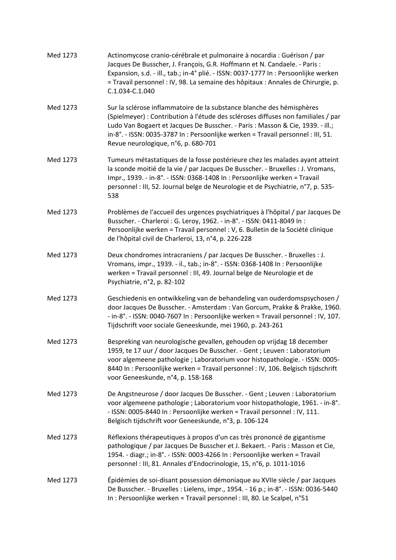| Med 1273 | Actinomycose cranio-cérébrale et pulmonaire à nocardia : Guérison / par<br>Jacques De Busscher, J. François, G.R. Hoffmann et N. Candaele. - Paris :<br>Expansion, s.d. - ill., tab.; in-4° plié. - ISSN: 0037-1777 In : Persoonlijke werken<br>= Travail personnel : IV, 98. La semaine des hôpitaux : Annales de Chirurgie, p.<br>C.1.034-C.1.040                   |
|----------|-----------------------------------------------------------------------------------------------------------------------------------------------------------------------------------------------------------------------------------------------------------------------------------------------------------------------------------------------------------------------|
| Med 1273 | Sur la sclérose inflammatoire de la substance blanche des hémisphères<br>(Spielmeyer) : Contribution à l'étude des scléroses diffuses non familiales / par<br>Ludo Van Bogaert et Jacques De Busscher. - Paris : Masson & Cie, 1939. - ill.;<br>in-8°. - ISSN: 0035-3787 In: Persoonlijke werken = Travail personnel: III, 51.<br>Revue neurologique, n°6, p. 680-701 |
| Med 1273 | Tumeurs métastatiques de la fosse postérieure chez les malades ayant atteint<br>la sconde moitié de la vie / par Jacques De Busscher. - Bruxelles : J. Vromans,<br>Impr., 1939. - in-8°. - ISSN: 0368-1408 In: Persoonlijke werken = Travail<br>personnel : III, 52. Journal belge de Neurologie et de Psychiatrie, n°7, p. 535-<br>538                               |
| Med 1273 | Problèmes de l'accueil des urgences psychiatriques à l'hôpital / par Jacques De<br>Busscher. - Charleroi : G. Leroy, 1962. - in-8°. - ISSN: 0411-8049 In :<br>Persoonlijke werken = Travail personnel : V, 6. Bulletin de la Société clinique<br>de l'hôpital civil de Charleroi, 13, n°4, p. 226-228                                                                 |
| Med 1273 | Deux chondromes intracraniens / par Jacques De Busscher. - Bruxelles : J.<br>Vromans, impr., 1939. - il., tab.; in-8°. - ISSN: 0368-1408 In: Persoonlijke<br>werken = Travail personnel : III, 49. Journal belge de Neurologie et de<br>Psychiatrie, n°2, p. 82-102                                                                                                   |
| Med 1273 | Geschiedenis en ontwikkeling van de behandeling van ouderdomspsychosen /<br>door Jacques De Busscher. - Amsterdam : Van Gorcum, Prakke & Prakke, 1960.<br>- in-8°. - ISSN: 0040-7607 In: Persoonlijke werken = Travail personnel: IV, 107.<br>Tijdschrift voor sociale Geneeskunde, mei 1960, p. 243-261                                                              |
| Med 1273 | Bespreking van neurologische gevallen, gehouden op vrijdag 18 december<br>1959, te 17 uur / door Jacques De Busscher. - Gent ; Leuven : Laboratorium<br>voor algemeene pathologie ; Laboratorium voor histopathologie. - ISSN: 0005-<br>8440 In: Persoonlijke werken = Travail personnel : IV, 106. Belgisch tijdschrift<br>voor Geneeskunde, n°4, p. 158-168         |
| Med 1273 | De Angstneurose / door Jacques De Busscher. - Gent ; Leuven : Laboratorium<br>voor algemeene pathologie ; Laboratorium voor histopathologie, 1961. - in-8°.<br>- ISSN: 0005-8440 In : Persoonlijke werken = Travail personnel : IV, 111.<br>Belgisch tijdschrift voor Geneeskunde, n°3, p. 106-124                                                                    |
| Med 1273 | Réflexions thérapeutiques à propos d'un cas très prononcé de gigantisme<br>pathologique / par Jacques De Busscher et J. Bekaert. - Paris : Masson et Cie,<br>1954. - diagr.; in-8°. - ISSN: 0003-4266 In : Persoonlijke werken = Travail<br>personnel : III, 81. Annales d'Endocrinologie, 15, n°6, p. 1011-1016                                                      |
| Med 1273 | Épidémies de soi-disant possession démoniaque au XVIIe siècle / par Jacques<br>De Busscher. - Bruxelles : Lielens, impr., 1954. - 16 p.; in-8°. - ISSN: 0036-5440<br>In : Persoonlijke werken = Travail personnel : III, 80. Le Scalpel, n°51                                                                                                                         |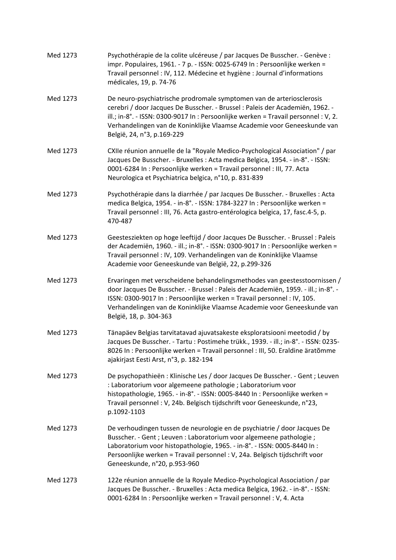| Med 1273 | Psychothérapie de la colite ulcéreuse / par Jacques De Busscher. - Genève :<br>impr. Populaires, 1961. - 7 p. - ISSN: 0025-6749 In : Persoonlijke werken =<br>Travail personnel : IV, 112. Médecine et hygiène : Journal d'informations<br>médicales, 19, p. 74-76                                                                                    |
|----------|-------------------------------------------------------------------------------------------------------------------------------------------------------------------------------------------------------------------------------------------------------------------------------------------------------------------------------------------------------|
| Med 1273 | De neuro-psychiatrische prodromale symptomen van de arteriosclerosis<br>cerebri / door Jacques De Busscher. - Brussel : Paleis der Academiën, 1962. -<br>ill.; in-8°. - ISSN: 0300-9017 In : Persoonlijke werken = Travail personnel : V, 2.<br>Verhandelingen van de Koninklijke Vlaamse Academie voor Geneeskunde van<br>België, 24, n°3, p.169-229 |
| Med 1273 | CXIIe réunion annuelle de la "Royale Medico-Psychological Association" / par<br>Jacques De Busscher. - Bruxelles : Acta medica Belgica, 1954. - in-8°. - ISSN:<br>0001-6284 In : Persoonlijke werken = Travail personnel : III, 77. Acta<br>Neurologica et Psychiatrica belgica, n°10, p. 831-839                                                     |
| Med 1273 | Psychothérapie dans la diarrhée / par Jacques De Busscher. - Bruxelles : Acta<br>medica Belgica, 1954. - in-8°. - ISSN: 1784-3227 In: Persoonlijke werken =<br>Travail personnel : III, 76. Acta gastro-entérologica belgica, 17, fasc.4-5, p.<br>470-487                                                                                             |
| Med 1273 | Geestesziekten op hoge leeftijd / door Jacques De Busscher. - Brussel : Paleis<br>der Academiën, 1960. - ill.; in-8°. - ISSN: 0300-9017 In: Persoonlijke werken =<br>Travail personnel : IV, 109. Verhandelingen van de Koninklijke Vlaamse<br>Academie voor Geneeskunde van België, 22, p.299-326                                                    |
| Med 1273 | Ervaringen met verscheidene behandelingsmethodes van geestesstoornissen /<br>door Jacques De Busscher. - Brussel : Paleis der Academiën, 1959. - ill.; in-8°. -<br>ISSN: 0300-9017 In : Persoonlijke werken = Travail personnel : IV, 105.<br>Verhandelingen van de Koninklijke Vlaamse Academie voor Geneeskunde van<br>België, 18, p. 304-363       |
| Med 1273 | Tänapäev Belgias tarvitatavad ajuvatsakeste eksploratsiooni meetodid / by<br>Jacques De Busscher. - Tartu : Postimehe trükk., 1939. - ill.; in-8°. - ISSN: 0235-<br>8026 In : Persoonlijke werken = Travail personnel : III, 50. Eraldine äratõmme<br>ajakirjast Eesti Arst, n°3, p. 182-194                                                          |
| Med 1273 | De psychopathieën : Klinische Les / door Jacques De Busscher. - Gent ; Leuven<br>: Laboratorium voor algemeene pathologie ; Laboratorium voor<br>histopathologie, 1965. - in-8°. - ISSN: 0005-8440 In: Persoonlijke werken =<br>Travail personnel : V, 24b. Belgisch tijdschrift voor Geneeskunde, n°23,<br>p.1092-1103                               |
| Med 1273 | De verhoudingen tussen de neurologie en de psychiatrie / door Jacques De<br>Busscher. - Gent ; Leuven : Laboratorium voor algemeene pathologie ;<br>Laboratorium voor histopathologie, 1965. - in-8°. - ISSN: 0005-8440 In:<br>Persoonlijke werken = Travail personnel : V, 24a. Belgisch tijdschrift voor<br>Geneeskunde, n°20, p.953-960            |
| Med 1273 | 122e réunion annuelle de la Royale Medico-Psychological Association / par<br>Jacques De Busscher. - Bruxelles : Acta medica Belgica, 1962. - in-8°. - ISSN:<br>0001-6284 In : Persoonlijke werken = Travail personnel : V, 4. Acta                                                                                                                    |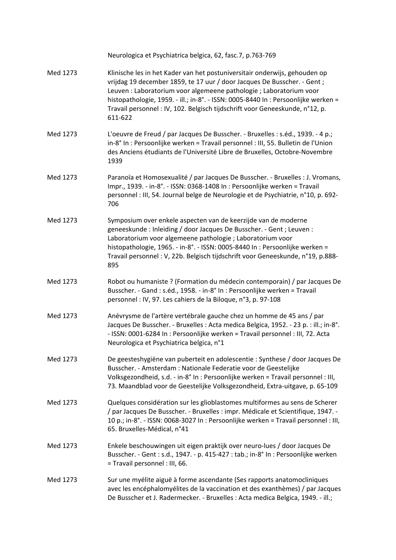|          | Neurologica et Psychiatrica belgica, 62, fasc.7, p.763-769                                                                                                                                                                                                                                                                                                                                                    |
|----------|---------------------------------------------------------------------------------------------------------------------------------------------------------------------------------------------------------------------------------------------------------------------------------------------------------------------------------------------------------------------------------------------------------------|
| Med 1273 | Klinische les in het Kader van het postuniversitair onderwijs, gehouden op<br>vrijdag 19 december 1859, te 17 uur / door Jacques De Busscher. - Gent ;<br>Leuven : Laboratorium voor algemeene pathologie ; Laboratorium voor<br>histopathologie, 1959. - ill.; in-8°. - ISSN: 0005-8440 In: Persoonlijke werken =<br>Travail personnel : IV, 102. Belgisch tijdschrift voor Geneeskunde, n°12, p.<br>611-622 |
| Med 1273 | L'oeuvre de Freud / par Jacques De Busscher. - Bruxelles : s.éd., 1939. - 4 p.;<br>in-8° In : Persoonlijke werken = Travail personnel : III, 55. Bulletin de l'Union<br>des Anciens étudiants de l'Université Libre de Bruxelles, Octobre-Novembre<br>1939                                                                                                                                                    |
| Med 1273 | Paranoïa et Homosexualité / par Jacques De Busscher. - Bruxelles : J. Vromans,<br>Impr., 1939. - in-8°. - ISSN: 0368-1408 In: Persoonlijke werken = Travail<br>personnel : III, 54. Journal belge de Neurologie et de Psychiatrie, n°10, p. 692-<br>706                                                                                                                                                       |
| Med 1273 | Symposium over enkele aspecten van de keerzijde van de moderne<br>geneeskunde: Inleiding / door Jacques De Busscher. - Gent ; Leuven :<br>Laboratorium voor algemeene pathologie ; Laboratorium voor<br>histopathologie, 1965. - in-8°. - ISSN: 0005-8440 In: Persoonlijke werken =<br>Travail personnel : V, 22b. Belgisch tijdschrift voor Geneeskunde, n°19, p.888-<br>895                                 |
| Med 1273 | Robot ou humaniste ? (Formation du médecin contemporain) / par Jacques De<br>Busscher. - Gand : s.éd., 1958. - in-8° In : Persoonlijke werken = Travail<br>personnel : IV, 97. Les cahiers de la Biloque, n°3, p. 97-108                                                                                                                                                                                      |
| Med 1273 | Anévrysme de l'artère vertébrale gauche chez un homme de 45 ans / par<br>Jacques De Busscher. - Bruxelles : Acta medica Belgica, 1952. - 23 p. : ill.; in-8°.<br>- ISSN: 0001-6284 In : Persoonlijke werken = Travail personnel : III, 72. Acta<br>Neurologica et Psychiatrica belgica, n°1                                                                                                                   |
| Med 1273 | De geesteshygiëne van puberteit en adolescentie : Synthese / door Jacques De<br>Busscher. - Amsterdam : Nationale Federatie voor de Geestelijke<br>Volksgezondheid, s.d. - in-8° In : Persoonlijke werken = Travail personnel : III,<br>73. Maandblad voor de Geestelijke Volksgezondheid, Extra-uitgave, p. 65-109                                                                                           |
| Med 1273 | Quelques considération sur les glioblastomes multiformes au sens de Scherer<br>/ par Jacques De Busscher. - Bruxelles : impr. Médicale et Scientifique, 1947. -<br>10 p.; in-8°. - ISSN: 0068-3027 In : Persoonlijke werken = Travail personnel : III,<br>65. Bruxelles-Médical, n°41                                                                                                                         |
| Med 1273 | Enkele beschouwingen uit eigen praktijk over neuro-lues / door Jacques De<br>Busscher. - Gent : s.d., 1947. - p. 415-427 : tab.; in-8° In : Persoonlijke werken<br>= Travail personnel : III, 66.                                                                                                                                                                                                             |
| Med 1273 | Sur une myélite aiguë à forme ascendante (Ses rapports anatomocliniques<br>avec les encéphalomyélites de la vaccination et des exanthèmes) / par Jacques<br>De Busscher et J. Radermecker. - Bruxelles : Acta medica Belgica, 1949. - ill.;                                                                                                                                                                   |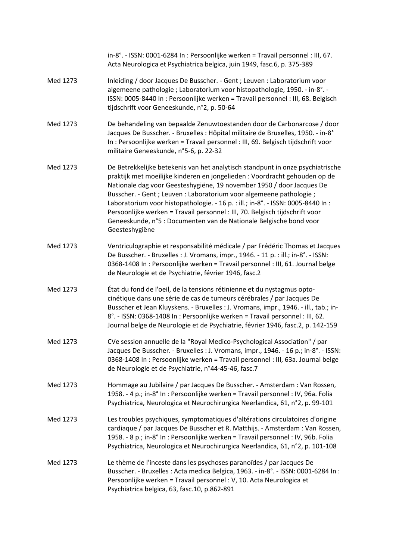|          | in-8°. - ISSN: 0001-6284 In: Persoonlijke werken = Travail personnel: III, 67.<br>Acta Neurologica et Psychiatrica belgica, juin 1949, fasc.6, p. 375-389                                                                                                                                                                                                                                                                                                                                                                                                                 |
|----------|---------------------------------------------------------------------------------------------------------------------------------------------------------------------------------------------------------------------------------------------------------------------------------------------------------------------------------------------------------------------------------------------------------------------------------------------------------------------------------------------------------------------------------------------------------------------------|
| Med 1273 | Inleiding / door Jacques De Busscher. - Gent ; Leuven : Laboratorium voor<br>algemeene pathologie; Laboratorium voor histopathologie, 1950. - in-8°. -<br>ISSN: 0005-8440 In: Persoonlijke werken = Travail personnel: III, 68. Belgisch<br>tijdschrift voor Geneeskunde, n°2, p. 50-64                                                                                                                                                                                                                                                                                   |
| Med 1273 | De behandeling van bepaalde Zenuwtoestanden door de Carbonarcose / door<br>Jacques De Busscher. - Bruxelles : Hôpital militaire de Bruxelles, 1950. - in-8°<br>In : Persoonlijke werken = Travail personnel : III, 69. Belgisch tijdschrift voor<br>militaire Geneeskunde, n°5-6, p. 22-32                                                                                                                                                                                                                                                                                |
| Med 1273 | De Betrekkelijke betekenis van het analytisch standpunt in onze psychiatrische<br>praktijk met moeilijke kinderen en jongelieden : Voordracht gehouden op de<br>Nationale dag voor Geesteshygiëne, 19 november 1950 / door Jacques De<br>Busscher. - Gent ; Leuven : Laboratorium voor algemeene pathologie ;<br>Laboratorium voor histopathologie. - 16 p. : ill.; in-8°. - ISSN: 0005-8440 In :<br>Persoonlijke werken = Travail personnel : III, 70. Belgisch tijdschrift voor<br>Geneeskunde, n°5 : Documenten van de Nationale Belgische bond voor<br>Geesteshygiëne |
| Med 1273 | Ventriculographie et responsabilité médicale / par Frédéric Thomas et Jacques<br>De Busscher. - Bruxelles : J. Vromans, impr., 1946. - 11 p. : ill.; in-8°. - ISSN:<br>0368-1408 In : Persoonlijke werken = Travail personnel : III, 61. Journal belge<br>de Neurologie et de Psychiatrie, février 1946, fasc.2                                                                                                                                                                                                                                                           |
| Med 1273 | État du fond de l'oeil, de la tensions rétinienne et du nystagmus opto-<br>cinétique dans une série de cas de tumeurs cérébrales / par Jacques De<br>Busscher et Jean Kluyskens. - Bruxelles : J. Vromans, impr., 1946. - ill., tab.; in-<br>8°. - ISSN: 0368-1408 In: Persoonlijke werken = Travail personnel: III, 62.<br>Journal belge de Neurologie et de Psychiatrie, février 1946, fasc.2, p. 142-159                                                                                                                                                               |
| Med 1273 | CVe session annuelle de la "Royal Medico-Psychological Association" / par<br>Jacques De Busscher. - Bruxelles : J. Vromans, impr., 1946. - 16 p.; in-8°. - ISSN:<br>0368-1408 In : Persoonlijke werken = Travail personnel : III, 63a. Journal belge<br>de Neurologie et de Psychiatrie, n°44-45-46, fasc.7                                                                                                                                                                                                                                                               |
| Med 1273 | Hommage au Jubilaire / par Jacques De Busscher. - Amsterdam : Van Rossen,<br>1958. - 4 p.; in-8° In : Persoonlijke werken = Travail personnel : IV, 96a. Folia<br>Psychiatrica, Neurologica et Neurochirurgica Neerlandica, 61, n°2, p. 99-101                                                                                                                                                                                                                                                                                                                            |
| Med 1273 | Les troubles psychiques, symptomatiques d'altérations circulatoires d'origine<br>cardiaque / par Jacques De Busscher et R. Matthijs. - Amsterdam : Van Rossen,<br>1958. - 8 p.; in-8° In : Persoonlijke werken = Travail personnel : IV, 96b. Folia<br>Psychiatrica, Neurologica et Neurochirurgica Neerlandica, 61, n°2, p. 101-108                                                                                                                                                                                                                                      |
| Med 1273 | Le thème de l'inceste dans les psychoses paranoïdes / par Jacques De<br>Busscher. - Bruxelles : Acta medica Belgica, 1963. - in-8°. - ISSN: 0001-6284 In :<br>Persoonlijke werken = Travail personnel : V, 10. Acta Neurologica et<br>Psychiatrica belgica, 63, fasc.10, p.862-891                                                                                                                                                                                                                                                                                        |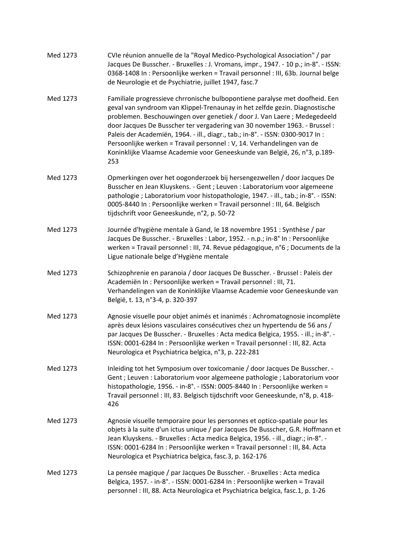| Med 1273 | CVIe réunion annuelle de la "Royal Medico-Psychological Association" / par<br>Jacques De Busscher. - Bruxelles : J. Vromans, impr., 1947. - 10 p.; in-8°. - ISSN:<br>0368-1408 In : Persoonlijke werken = Travail personnel : III, 63b. Journal belge<br>de Neurologie et de Psychiatrie, juillet 1947, fasc.7                                                                                                                                                                                                                                                      |
|----------|---------------------------------------------------------------------------------------------------------------------------------------------------------------------------------------------------------------------------------------------------------------------------------------------------------------------------------------------------------------------------------------------------------------------------------------------------------------------------------------------------------------------------------------------------------------------|
| Med 1273 | Familiale progressieve chrronische bulbopontiene paralyse met doofheid. Een<br>geval van syndroom van Klippel-Trenaunay in het zelfde gezin. Diagnostische<br>problemen. Beschouwingen over genetiek / door J. Van Laere; Medegedeeld<br>door Jacques De Busscher ter vergadering van 30 november 1963. - Brussel:<br>Paleis der Academiën, 1964. - ill., diagr., tab.; in-8°. - ISSN: 0300-9017 In :<br>Persoonlijke werken = Travail personnel : V, 14. Verhandelingen van de<br>Koninklijke Vlaamse Academie voor Geneeskunde van België, 26, n°3, p.189-<br>253 |
| Med 1273 | Opmerkingen over het oogonderzoek bij hersengezwellen / door Jacques De<br>Busscher en Jean Kluyskens. - Gent ; Leuven : Laboratorium voor algemeene<br>pathologie ; Laboratorium voor histopathologie, 1947. - ill., tab.; in-8°. - ISSN:<br>0005-8440 In : Persoonlijke werken = Travail personnel : III, 64. Belgisch<br>tijdschrift voor Geneeskunde, n°2, p. 50-72                                                                                                                                                                                             |
| Med 1273 | Journée d'hygiène mentale à Gand, le 18 novembre 1951 : Synthèse / par<br>Jacques De Busscher. - Bruxelles : Labor, 1952. - n.p.; in-8° In : Persoonlijke<br>werken = Travail personnel : III, 74. Revue pédagogique, n°6 ; Documents de la<br>Ligue nationale belge d'Hygiène mentale                                                                                                                                                                                                                                                                              |
| Med 1273 | Schizophrenie en paranoia / door Jacques De Busscher. - Brussel : Paleis der<br>Academiën In : Persoonlijke werken = Travail personnel : III, 71.<br>Verhandelingen van de Koninklijke Vlaamse Academie voor Geneeskunde van<br>België, t. 13, n°3-4, p. 320-397                                                                                                                                                                                                                                                                                                    |
| Med 1273 | Agnosie visuelle pour objet animés et inanimés : Achromatognosie incomplète<br>après deux lésions vasculaires consécutives chez un hypertendu de 56 ans /<br>par Jacques De Busscher. - Bruxelles : Acta medica Belgica, 1955. - ill.; in-8°. -<br>ISSN: 0001-6284 In: Persoonlijke werken = Travail personnel: III, 82. Acta<br>Neurologica et Psychiatrica belgica, n°3, p. 222-281                                                                                                                                                                               |
| Med 1273 | Inleiding tot het Symposium over toxicomanie / door Jacques De Busscher. -<br>Gent ; Leuven : Laboratorium voor algemeene pathologie ; Laboratorium voor<br>histopathologie, 1956. - in-8°. - ISSN: 0005-8440 In: Persoonlijke werken =<br>Travail personnel : III, 83. Belgisch tijdschrift voor Geneeskunde, n°8, p. 418-<br>426                                                                                                                                                                                                                                  |
| Med 1273 | Agnosie visuelle temporaire pour les personnes et optico-spatiale pour les<br>objets à la suite d'un ictus unique / par Jacques De Busscher, G.R. Hoffmann et<br>Jean Kluyskens. - Bruxelles : Acta medica Belgica, 1956. - ill., diagr.; in-8°. -<br>ISSN: 0001-6284 In: Persoonlijke werken = Travail personnel: III, 84. Acta<br>Neurologica et Psychiatrica belgica, fasc.3, p. 162-176                                                                                                                                                                         |
| Med 1273 | La pensée magique / par Jacques De Busscher. - Bruxelles : Acta medica<br>Belgica, 1957. - in-8°. - ISSN: 0001-6284 In: Persoonlijke werken = Travail<br>personnel : III, 88. Acta Neurologica et Psychiatrica belgica, fasc.1, p. 1-26                                                                                                                                                                                                                                                                                                                             |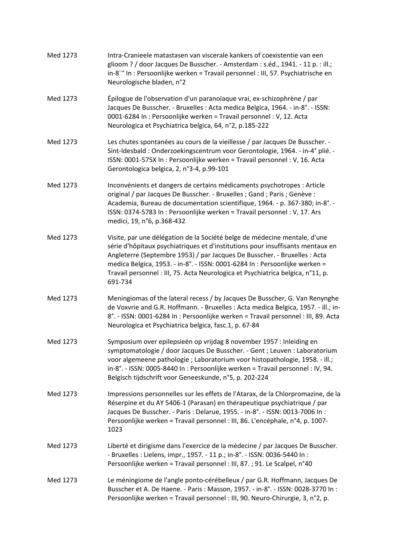| Med 1273 | Intra-Cranieele matastasen van viscerale kankers of coexistentie van een<br>glioom ? / door Jacques De Busscher. - Amsterdam : s.éd., 1941. - 11 p. : ill.;<br>in-8"° In : Persoonlijke werken = Travail personnel : III, 57. Psychiatrische en<br>Neurologische bladen, n°2                                                                                                                                         |
|----------|----------------------------------------------------------------------------------------------------------------------------------------------------------------------------------------------------------------------------------------------------------------------------------------------------------------------------------------------------------------------------------------------------------------------|
| Med 1273 | Épilogue de l'observation d'un paranoïaque vrai, ex-schizophrène / par<br>Jacques De Busscher. - Bruxelles : Acta medica Belgica, 1964. - in-8°. - ISSN:<br>0001-6284 In : Persoonlijke werken = Travail personnel : V, 12. Acta<br>Neurologica et Psychiatrica belgica, 64, n°2, p.185-222                                                                                                                          |
| Med 1273 | Les chutes spontanées au cours de la vieillesse / par Jacques De Busscher. -<br>Sint-Idesbald : Onderzoekingscentrum voor Gerontologie, 1964. - in-4° plié. -<br>ISSN: 0001-575X In: Persoonlijke werken = Travail personnel: V, 16. Acta<br>Gerontologica belgica, 2, n°3-4, p.99-101                                                                                                                               |
| Med 1273 | Inconvénients et dangers de certains médicaments psychotropes : Article<br>original / par Jacques De Busscher. - Bruxelles ; Gand ; Paris ; Genève :<br>Academia, Bureau de documentation scientifique, 1964. - p. 367-380; in-8°. -<br>ISSN: 0374-5783 In: Persoonlijke werken = Travail personnel: V, 17. Ars<br>medici, 19, n°6, p.368-432                                                                        |
| Med 1273 | Visite, par une délégation de la Société belge de médecine mentale, d'une<br>série d'hôpitaux psychiatriques et d'institutions pour insuffisants mentaux en<br>Angleterre (Septembre 1953) / par Jacques De Busscher. - Bruxelles : Acta<br>medica Belgica, 1953. - in-8°. - ISSN: 0001-6284 In: Persoonlijke werken =<br>Travail personnel : III, 75. Acta Neurologica et Psychiatrica belgica, n°11, p.<br>691-734 |
| Med 1273 | Meningiomas of the lateral recess / by Jacques De Busscher, G. Van Renynghe<br>de Voxvrie and G.R. Hoffmann. - Bruxelles : Acta medica Belgica, 1957. - ill.; in-<br>8°. - ISSN: 0001-6284 In: Persoonlijke werken = Travail personnel: III, 89. Acta<br>Neurologica et Psychiatrica belgica, fasc.1, p. 67-84                                                                                                       |
| Med 1273 | Symposium over epilepsieën op vrijdag 8 november 1957 : Inleiding en<br>symptomatologie / door Jacques De Busscher. - Gent ; Leuven : Laboratorium<br>voor algemeene pathologie ; Laboratorium voor histopathologie, 1958. - ill.;<br>in-8°. - ISSN: 0005-8440 In: Persoonlijke werken = Travail personnel: IV, 94.<br>Belgisch tijdschrift voor Geneeskunde, n°5, p. 202-224                                        |
| Med 1273 | Impressions personnelles sur les effets de l'Atarax, de la Chlorpromazine, de la<br>Réserpine et du AY 5406-1 (Parasan) en thérapeutique psychiatrique / par<br>Jacques De Busscher. - Paris : Delarue, 1955. - in-8°. - ISSN: 0013-7006 In :<br>Persoonlijke werken = Travail personnel : III, 86. L'encéphale, n°4, p. 1007-<br>1023                                                                               |
| Med 1273 | Liberté et dirigisme dans l'exercice de la médecine / par Jacques De Busscher.<br>- Bruxelles : Lielens, impr., 1957. - 11 p.; in-8°. - ISSN: 0036-5440 In :<br>Persoonlijke werken = Travail personnel : III, 87. ; 91. Le Scalpel, n°40                                                                                                                                                                            |
| Med 1273 | Le méningiome de l'angle ponto-cérébelleux / par G.R. Hoffmann, Jacques De<br>Busscher et A. De Haene. - Paris: Masson, 1957. - in-8°. - ISSN: 0028-3770 In:<br>Persoonlijke werken = Travail personnel : III, 90. Neuro-Chirurgie, 3, n°2, p.                                                                                                                                                                       |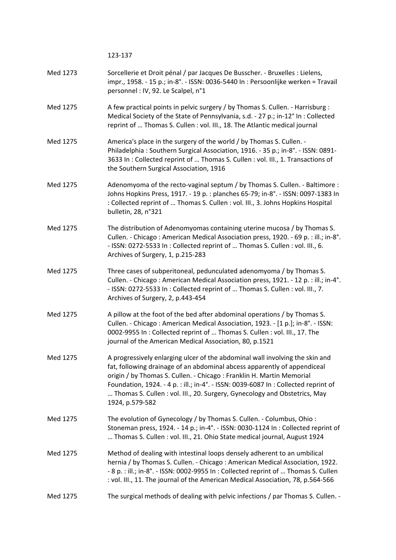123‐137

| Med 1273 | Sorcellerie et Droit pénal / par Jacques De Busscher. - Bruxelles : Lielens,      |
|----------|-----------------------------------------------------------------------------------|
|          | impr., 1958. - 15 p.; in-8°. - ISSN: 0036-5440 In : Persoonlijke werken = Travail |
|          | personnel : IV, 92. Le Scalpel, n°1                                               |

- Med 1275 A few practical points in pelvic surgery / by Thomas S. Cullen. Harrisburg : Medical Society of the State of Pennsylvania, s.d. ‐ 27 p.; in‐12° In : Collected reprint of … Thomas S. Cullen : vol. III., 18. The Atlantic medical journal
- Med 1275 America's place in the surgery of the world / by Thomas S. Cullen. -Philadelphia : Southern Surgical Association, 1916. ‐ 35 p.; in‐8°. ‐ ISSN: 0891‐ 3633 In : Collected reprint of … Thomas S. Cullen : vol. III., 1. Transactions of the Southern Surgical Association, 1916
- Med 1275 Adenomyoma of the recto-vaginal septum / by Thomas S. Cullen. Baltimore : Johns Hopkins Press, 1917. ‐ 19 p. : planches 65‐79; in‐8°. ‐ ISSN: 0097‐1383 In : Collected reprint of … Thomas S. Cullen : vol. III., 3. Johns Hopkins Hospital bulletin, 28, n°321
- Med 1275 The distribution of Adenomyomas containing uterine mucosa / by Thomas S. Cullen. ‐ Chicago : American Medical Association press, 1920. ‐ 69 p. : ill.; in‐8°. ‐ ISSN: 0272‐5533 In : Collected reprint of … Thomas S. Cullen : vol. III., 6. Archives of Surgery, 1, p.215‐283
- Med 1275 Three cases of subperitoneal, pedunculated adenomyoma / by Thomas S. Cullen. ‐ Chicago : American Medical Association press, 1921. ‐ 12 p. : ill.; in‐4°. ‐ ISSN: 0272‐5533 In : Collected reprint of … Thomas S. Cullen : vol. III., 7. Archives of Surgery, 2, p.443‐454
- Med 1275 A pillow at the foot of the bed after abdominal operations / by Thomas S. Cullen. ‐ Chicago : American Medical Association, 1923. ‐ [1 p.]; in‐8°. ‐ ISSN: 0002‐9955 In : Collected reprint of … Thomas S. Cullen : vol. III., 17. The journal of the American Medical Association, 80, p.1521
- Med 1275 A progressively enlarging ulcer of the abdominal wall involving the skin and fat, following drainage of an abdominal abcess apparently of appendiceal origin / by Thomas S. Cullen. ‐ Chicago : Franklin H. Martin Memorial Foundation, 1924. ‐ 4 p. : ill.; in‐4°. ‐ ISSN: 0039‐6087 In : Collected reprint of … Thomas S. Cullen : vol. III., 20. Surgery, Gynecology and Obstetrics, May 1924, p.579‐582
- Med 1275 The evolution of Gynecology / by Thomas S. Cullen. Columbus, Ohio: Stoneman press, 1924. ‐ 14 p.; in‐4°. ‐ ISSN: 0030‐1124 In : Collected reprint of … Thomas S. Cullen : vol. III., 21. Ohio State medical journal, August 1924
- Med 1275 Method of dealing with intestinal loops densely adherent to an umbilical hernia / by Thomas S. Cullen. ‐ Chicago : American Medical Association, 1922. ‐ 8 p. : ill.; in‐8°. ‐ ISSN: 0002‐9955 In : Collected reprint of … Thomas S. Cullen : vol. III., 11. The journal of the American Medical Association, 78, p.564‐566

#### Med 1275 The surgical methods of dealing with pelvic infections / par Thomas S. Cullen. -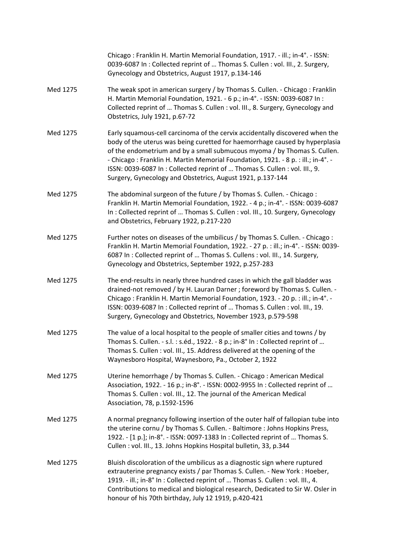|          | Chicago: Franklin H. Martin Memorial Foundation, 1917. - ill.; in-4°. - ISSN:<br>0039-6087 In: Collected reprint of  Thomas S. Cullen: vol. III., 2. Surgery,<br>Gynecology and Obstetrics, August 1917, p.134-146                                                                                                                                                                                                                                                    |
|----------|-----------------------------------------------------------------------------------------------------------------------------------------------------------------------------------------------------------------------------------------------------------------------------------------------------------------------------------------------------------------------------------------------------------------------------------------------------------------------|
| Med 1275 | The weak spot in american surgery / by Thomas S. Cullen. - Chicago: Franklin<br>H. Martin Memorial Foundation, 1921. - 6 p.; in-4°. - ISSN: 0039-6087 In :<br>Collected reprint of  Thomas S. Cullen : vol. III., 8. Surgery, Gynecology and<br>Obstetrics, July 1921, p.67-72                                                                                                                                                                                        |
| Med 1275 | Early squamous-cell carcinoma of the cervix accidentally discovered when the<br>body of the uterus was being curetted for haemorrhage caused by hyperplasia<br>of the endometrium and by a small submucous myoma / by Thomas S. Cullen.<br>- Chicago: Franklin H. Martin Memorial Foundation, 1921. - 8 p.: ill.; in-4°. -<br>ISSN: 0039-6087 In: Collected reprint of  Thomas S. Cullen: vol. III., 9.<br>Surgery, Gynecology and Obstetrics, August 1921, p.137-144 |
| Med 1275 | The abdominal surgeon of the future / by Thomas S. Cullen. - Chicago:<br>Franklin H. Martin Memorial Foundation, 1922. - 4 p.; in-4°. - ISSN: 0039-6087<br>In: Collected reprint of  Thomas S. Cullen: vol. III., 10. Surgery, Gynecology<br>and Obstetrics, February 1922, p.217-220                                                                                                                                                                                 |
| Med 1275 | Further notes on diseases of the umbilicus / by Thomas S. Cullen. - Chicago:<br>Franklin H. Martin Memorial Foundation, 1922. - 27 p. : ill.; in-4°. - ISSN: 0039-<br>6087 In: Collected reprint of  Thomas S. Cullens: vol. III., 14. Surgery,<br>Gynecology and Obstetrics, September 1922, p.257-283                                                                                                                                                               |
| Med 1275 | The end-results in nearly three hundred cases in which the gall bladder was<br>drained-not removed / by H. Lauran Darner ; foreword by Thomas S. Cullen. -<br>Chicago: Franklin H. Martin Memorial Foundation, 1923. - 20 p.: ill.; in-4°. -<br>ISSN: 0039-6087 In: Collected reprint of  Thomas S. Cullen: vol. III., 19.<br>Surgery, Gynecology and Obstetrics, November 1923, p.579-598                                                                            |
| Med 1275 | The value of a local hospital to the people of smaller cities and towns / by<br>Thomas S. Cullen. - s.l.: s.éd., 1922. - 8 p.; in-8° In: Collected reprint of<br>Thomas S. Cullen : vol. III., 15. Address delivered at the opening of the<br>Waynesboro Hospital, Waynesboro, Pa., October 2, 1922                                                                                                                                                                   |
| Med 1275 | Uterine hemorrhage / by Thomas S. Cullen. - Chicago: American Medical<br>Association, 1922. - 16 p.; in-8°. - ISSN: 0002-9955 In: Collected reprint of<br>Thomas S. Cullen : vol. III., 12. The journal of the American Medical<br>Association, 78, p.1592-1596                                                                                                                                                                                                       |
| Med 1275 | A normal pregnancy following insertion of the outer half of fallopian tube into<br>the uterine cornu / by Thomas S. Cullen. - Baltimore : Johns Hopkins Press,<br>1922. - [1 p.]; in-8°. - ISSN: 0097-1383 In: Collected reprint of  Thomas S.<br>Cullen: vol. III., 13. Johns Hopkins Hospital bulletin, 33, p.344                                                                                                                                                   |
| Med 1275 | Bluish discoloration of the umbilicus as a diagnostic sign where ruptured<br>extrauterine pregnancy exists / par Thomas S. Cullen. - New York : Hoeber,<br>1919. - ill.; in-8° In: Collected reprint of  Thomas S. Cullen: vol. III., 4.<br>Contributions to medical and biological research, Dedicated to Sir W. Osler in<br>honour of his 70th birthday, July 12 1919, p.420-421                                                                                    |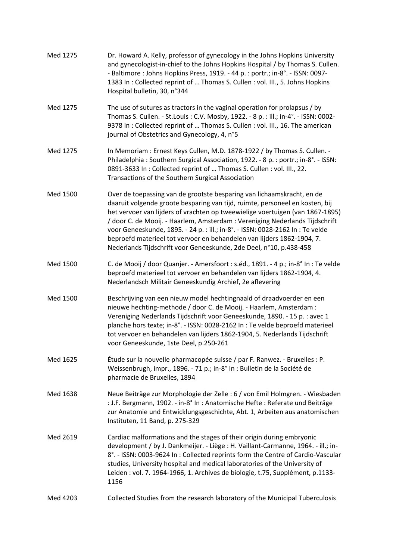| Med 1275 | Dr. Howard A. Kelly, professor of gynecology in the Johns Hopkins University<br>and gynecologist-in-chief to the Johns Hopkins Hospital / by Thomas S. Cullen.<br>- Baltimore : Johns Hopkins Press, 1919. - 44 p. : portr.; in-8°. - ISSN: 0097-<br>1383 In: Collected reprint of  Thomas S. Cullen: vol. III., 5. Johns Hopkins<br>Hospital bulletin, 30, n°344                                                                                                                                                                                         |
|----------|-----------------------------------------------------------------------------------------------------------------------------------------------------------------------------------------------------------------------------------------------------------------------------------------------------------------------------------------------------------------------------------------------------------------------------------------------------------------------------------------------------------------------------------------------------------|
| Med 1275 | The use of sutures as tractors in the vaginal operation for prolapsus / by<br>Thomas S. Cullen. - St. Louis: C.V. Mosby, 1922. - 8 p.: ill.; in-4°. - ISSN: 0002-<br>9378 In: Collected reprint of  Thomas S. Cullen: vol. III., 16. The american<br>journal of Obstetrics and Gynecology, 4, n°5                                                                                                                                                                                                                                                         |
| Med 1275 | In Memoriam : Ernest Keys Cullen, M.D. 1878-1922 / by Thomas S. Cullen. -<br>Philadelphia: Southern Surgical Association, 1922. - 8 p.: portr.; in-8°. - ISSN:<br>0891-3633 In: Collected reprint of  Thomas S. Cullen: vol. III., 22.<br>Transactions of the Southern Surgical Association                                                                                                                                                                                                                                                               |
| Med 1500 | Over de toepassing van de grootste besparing van lichaamskracht, en de<br>daaruit volgende groote besparing van tijd, ruimte, personeel en kosten, bij<br>het vervoer van lijders of vrachten op tweewielige voertuigen (van 1867-1895)<br>/ door C. de Mooij. - Haarlem, Amsterdam : Vereniging Nederlands Tijdschrift<br>voor Geneeskunde, 1895. - 24 p. : ill.; in-8°. - ISSN: 0028-2162 In : Te velde<br>beproefd materieel tot vervoer en behandelen van lijders 1862-1904, 7.<br>Nederlands Tijdschrift voor Geneeskunde, 2de Deel, n°10, p.438-458 |
| Med 1500 | C. de Mooij / door Quanjer. - Amersfoort : s.éd., 1891. - 4 p.; in-8° In : Te velde<br>beproefd materieel tot vervoer en behandelen van lijders 1862-1904, 4.<br>Nederlandsch Militair Geneeskundig Archief, 2e aflevering                                                                                                                                                                                                                                                                                                                                |
| Med 1500 | Beschrijving van een nieuw model hechtingnaald of draadvoerder en een<br>nieuwe hechting-methode / door C. de Mooij. - Haarlem, Amsterdam :<br>Vereniging Nederlands Tijdschrift voor Geneeskunde, 1890. - 15 p. : avec 1<br>planche hors texte; in-8°. - ISSN: 0028-2162 In : Te velde beproefd materieel<br>tot vervoer en behandelen van lijders 1862-1904, 5. Nederlands Tijdschrift<br>voor Geneeskunde, 1ste Deel, p.250-261                                                                                                                        |
| Med 1625 | Étude sur la nouvelle pharmacopée suisse / par F. Ranwez. - Bruxelles : P.<br>Weissenbrugh, impr., 1896. - 71 p.; in-8° In : Bulletin de la Société de<br>pharmacie de Bruxelles, 1894                                                                                                                                                                                                                                                                                                                                                                    |
| Med 1638 | Neue Beiträge zur Morphologie der Zelle : 6 / von Emil Holmgren. - Wiesbaden<br>: J.F. Bergmann, 1902. - in-8° In : Anatomische Hefte : Referate und Beiträge<br>zur Anatomie und Entwicklungsgeschichte, Abt. 1, Arbeiten aus anatomischen<br>Instituten, 11 Band, p. 275-329                                                                                                                                                                                                                                                                            |
| Med 2619 | Cardiac malformations and the stages of their origin during embryonic<br>development / by J. Dankmeijer. - Liège : H. Vaillant-Carmanne, 1964. - ill.; in-<br>8°. - ISSN: 0003-9624 In: Collected reprints form the Centre of Cardio-Vascular<br>studies, University hospital and medical laboratories of the University of<br>Leiden : vol. 7. 1964-1966, 1. Archives de biologie, t.75, Supplément, p.1133-<br>1156                                                                                                                                     |
| Med 4203 | Collected Studies from the research laboratory of the Municipal Tuberculosis                                                                                                                                                                                                                                                                                                                                                                                                                                                                              |